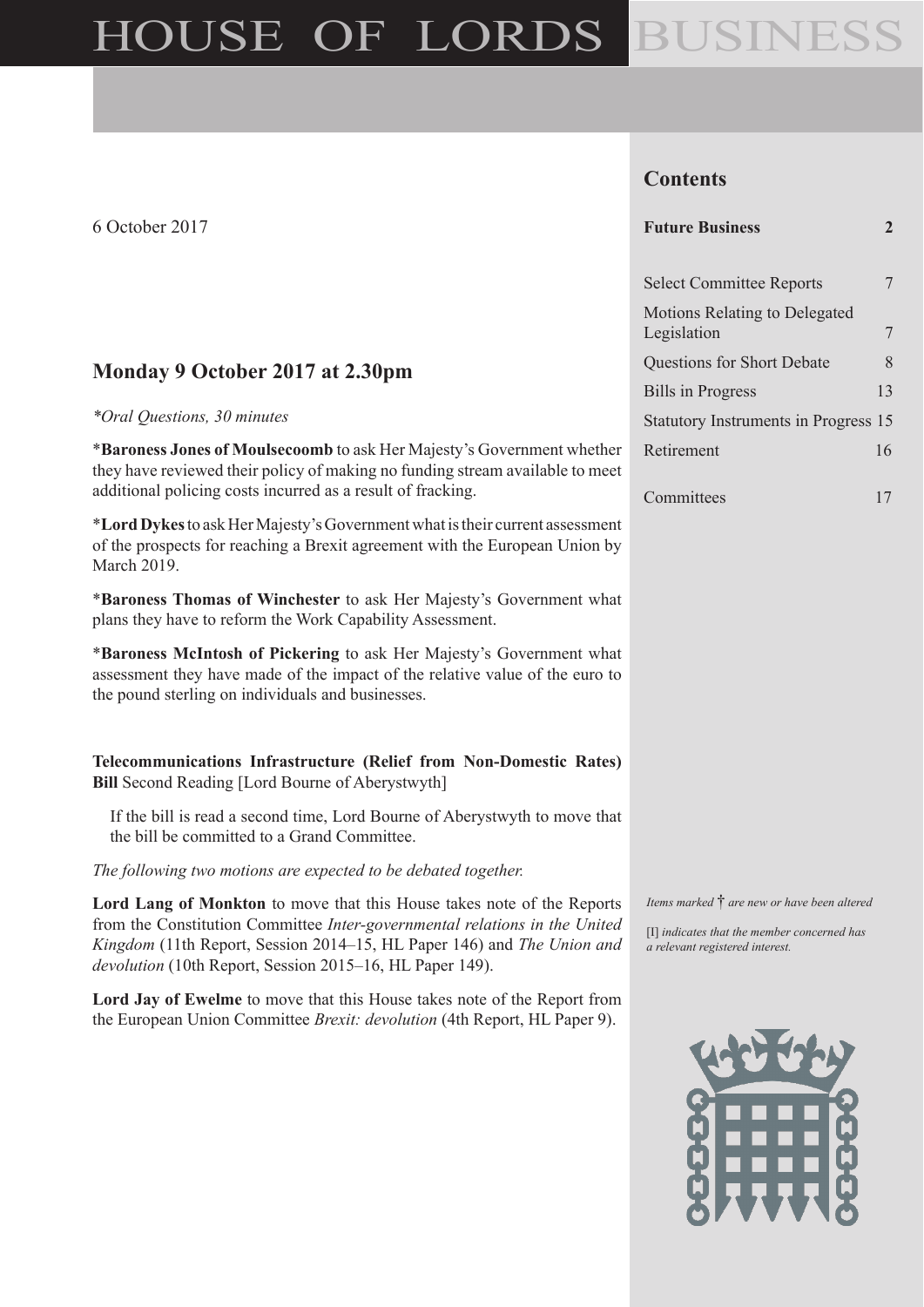# HOUSE OF LORDS BUSINESS

6 October 2017

# **Monday 9 October 2017 at 2.30pm**

#### *\*Oral Questions, 30 minutes*

\***Baroness Jones of Moulsecoomb** to ask Her Majesty's Government whether they have reviewed their policy of making no funding stream available to meet additional policing costs incurred as a result of fracking.

\***Lord Dykes**to ask Her Majesty's Government what is their current assessment of the prospects for reaching a Brexit agreement with the European Union by March 2019.

\***Baroness Thomas of Winchester** to ask Her Majesty's Government what plans they have to reform the Work Capability Assessment.

\***Baroness McIntosh of Pickering** to ask Her Majesty's Government what assessment they have made of the impact of the relative value of the euro to the pound sterling on individuals and businesses.

**Telecommunications Infrastructure (Relief from Non-Domestic Rates) Bill** Second Reading [Lord Bourne of Aberystwyth]

If the bill is read a second time, Lord Bourne of Aberystwyth to move that the bill be committed to a Grand Committee.

*The following two motions are expected to be debated together.*

**Lord Lang of Monkton** to move that this House takes note of the Reports from the Constitution Committee *Inter-governmental relations in the United Kingdom* (11th Report, Session 2014–15, HL Paper 146) and *The Union and devolution* (10th Report, Session 2015–16, HL Paper 149).

**Lord Jay of Ewelme** to move that this House takes note of the Report from the European Union Committee *Brexit: devolution* (4th Report, HL Paper 9).

# **Contents**

#### **Future Business 2**

| <b>Select Committee Reports</b>                     |    |
|-----------------------------------------------------|----|
| <b>Motions Relating to Delegated</b><br>Legislation | 7  |
| <b>Questions for Short Debate</b>                   | 8  |
| <b>Bills in Progress</b>                            | 13 |
| Statutory Instruments in Progress 15                |    |
| Retirement                                          | 16 |
|                                                     |    |

Committees 17

*Items marked* † *are new or have been altered*

[I] *indicates that the member concerned has a relevant registered interest.*

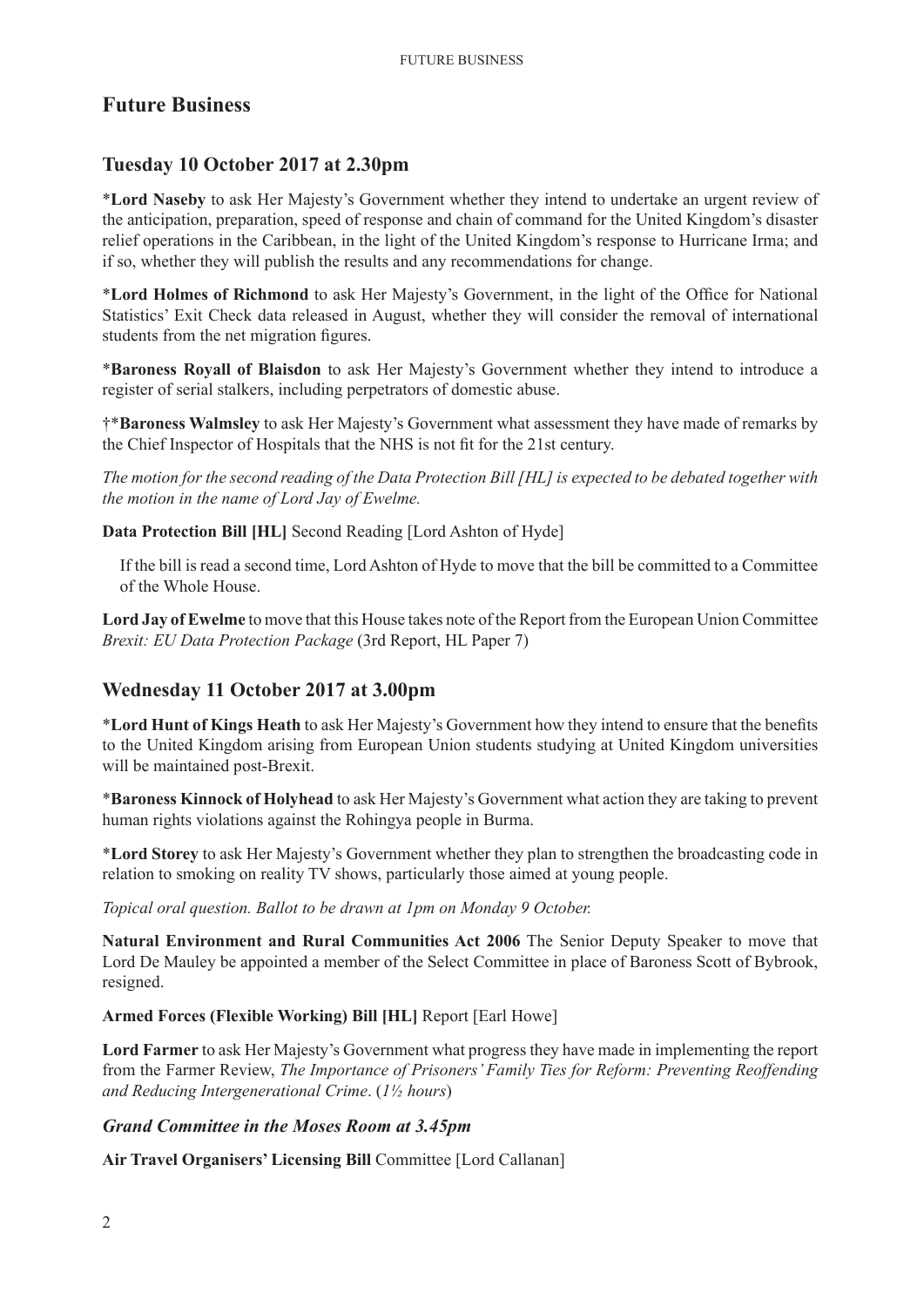# **Future Business**

# **Tuesday 10 October 2017 at 2.30pm**

\***Lord Naseby** to ask Her Majesty's Government whether they intend to undertake an urgent review of the anticipation, preparation, speed of response and chain of command for the United Kingdom's disaster relief operations in the Caribbean, in the light of the United Kingdom's response to Hurricane Irma; and if so, whether they will publish the results and any recommendations for change.

\***Lord Holmes of Richmond** to ask Her Majesty's Government, in the light of the Office for National Statistics' Exit Check data released in August, whether they will consider the removal of international students from the net migration figures.

\***Baroness Royall of Blaisdon** to ask Her Majesty's Government whether they intend to introduce a register of serial stalkers, including perpetrators of domestic abuse.

†\***Baroness Walmsley** to ask Her Majesty's Government what assessment they have made of remarks by the Chief Inspector of Hospitals that the NHS is not fit for the 21st century.

*The motion for the second reading of the Data Protection Bill [HL] is expected to be debated together with the motion in the name of Lord Jay of Ewelme.*

**Data Protection Bill [HL]** Second Reading [Lord Ashton of Hyde]

If the bill is read a second time, Lord Ashton of Hyde to move that the bill be committed to a Committee of the Whole House.

**Lord Jay of Ewelme** to move that this House takes note of the Report from the European Union Committee *Brexit: EU Data Protection Package* (3rd Report, HL Paper 7)

# **Wednesday 11 October 2017 at 3.00pm**

\***Lord Hunt of Kings Heath** to ask Her Majesty's Government how they intend to ensure that the benefits to the United Kingdom arising from European Union students studying at United Kingdom universities will be maintained post-Brexit.

\***Baroness Kinnock of Holyhead** to ask Her Majesty's Government what action they are taking to prevent human rights violations against the Rohingya people in Burma.

\***Lord Storey** to ask Her Majesty's Government whether they plan to strengthen the broadcasting code in relation to smoking on reality TV shows, particularly those aimed at young people.

*Topical oral question. Ballot to be drawn at 1pm on Monday 9 October.* 

**Natural Environment and Rural Communities Act 2006** The Senior Deputy Speaker to move that Lord De Mauley be appointed a member of the Select Committee in place of Baroness Scott of Bybrook, resigned.

#### **Armed Forces (Flexible Working) Bill [HL]** Report [Earl Howe]

**Lord Farmer** to ask Her Majesty's Government what progress they have made in implementing the report from the Farmer Review, *The Importance of Prisoners' Family Ties for Reform: Preventing Reoffending and Reducing Intergenerational Crime*. (*1½ hours*)

## *Grand Committee in the Moses Room at 3.45pm*

**Air Travel Organisers' Licensing Bill** Committee [Lord Callanan]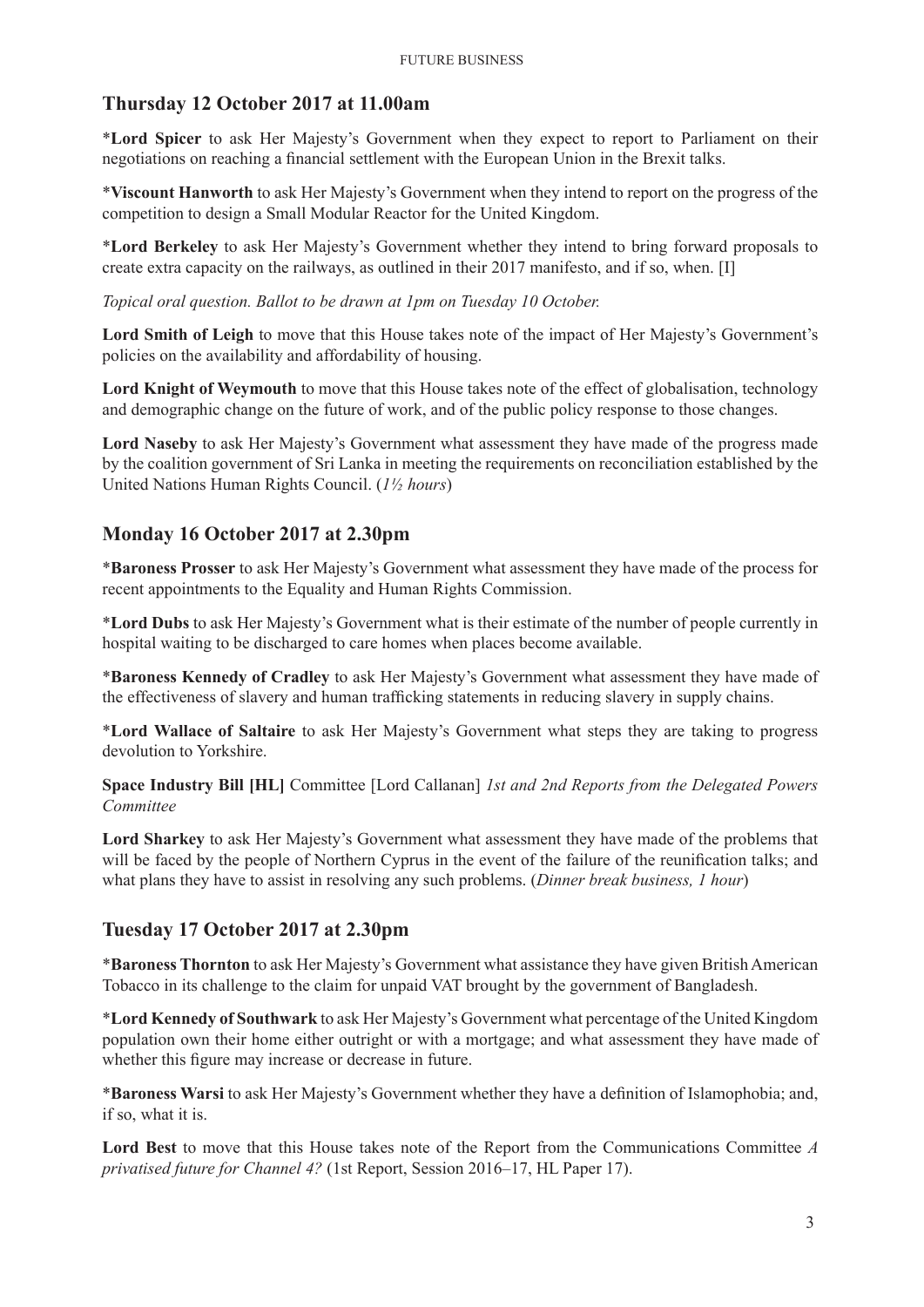## **Thursday 12 October 2017 at 11.00am**

\***Lord Spicer** to ask Her Majesty's Government when they expect to report to Parliament on their negotiations on reaching a financial settlement with the European Union in the Brexit talks.

\***Viscount Hanworth** to ask Her Majesty's Government when they intend to report on the progress of the competition to design a Small Modular Reactor for the United Kingdom.

\***Lord Berkeley** to ask Her Majesty's Government whether they intend to bring forward proposals to create extra capacity on the railways, as outlined in their 2017 manifesto, and if so, when. [I]

*Topical oral question. Ballot to be drawn at 1pm on Tuesday 10 October.*

**Lord Smith of Leigh** to move that this House takes note of the impact of Her Majesty's Government's policies on the availability and affordability of housing.

**Lord Knight of Weymouth** to move that this House takes note of the effect of globalisation, technology and demographic change on the future of work, and of the public policy response to those changes.

**Lord Naseby** to ask Her Majesty's Government what assessment they have made of the progress made by the coalition government of Sri Lanka in meeting the requirements on reconciliation established by the United Nations Human Rights Council. (*1½ hours*)

#### **Monday 16 October 2017 at 2.30pm**

\***Baroness Prosser** to ask Her Majesty's Government what assessment they have made of the process for recent appointments to the Equality and Human Rights Commission.

\***Lord Dubs** to ask Her Majesty's Government what is their estimate of the number of people currently in hospital waiting to be discharged to care homes when places become available.

\***Baroness Kennedy of Cradley** to ask Her Majesty's Government what assessment they have made of the effectiveness of slavery and human trafficking statements in reducing slavery in supply chains.

\***Lord Wallace of Saltaire** to ask Her Majesty's Government what steps they are taking to progress devolution to Yorkshire.

**Space Industry Bill [HL]** Committee [Lord Callanan] *1st and 2nd Reports from the Delegated Powers Committee*

**Lord Sharkey** to ask Her Majesty's Government what assessment they have made of the problems that will be faced by the people of Northern Cyprus in the event of the failure of the reunification talks; and what plans they have to assist in resolving any such problems. (*Dinner break business, 1 hour*)

#### **Tuesday 17 October 2017 at 2.30pm**

\***Baroness Thornton** to ask Her Majesty's Government what assistance they have given British American Tobacco in its challenge to the claim for unpaid VAT brought by the government of Bangladesh.

\***Lord Kennedy of Southwark** to ask Her Majesty's Government what percentage of the United Kingdom population own their home either outright or with a mortgage; and what assessment they have made of whether this figure may increase or decrease in future.

\***Baroness Warsi** to ask Her Majesty's Government whether they have a definition of Islamophobia; and, if so, what it is.

**Lord Best** to move that this House takes note of the Report from the Communications Committee *A privatised future for Channel 4?* (1st Report, Session 2016–17, HL Paper 17).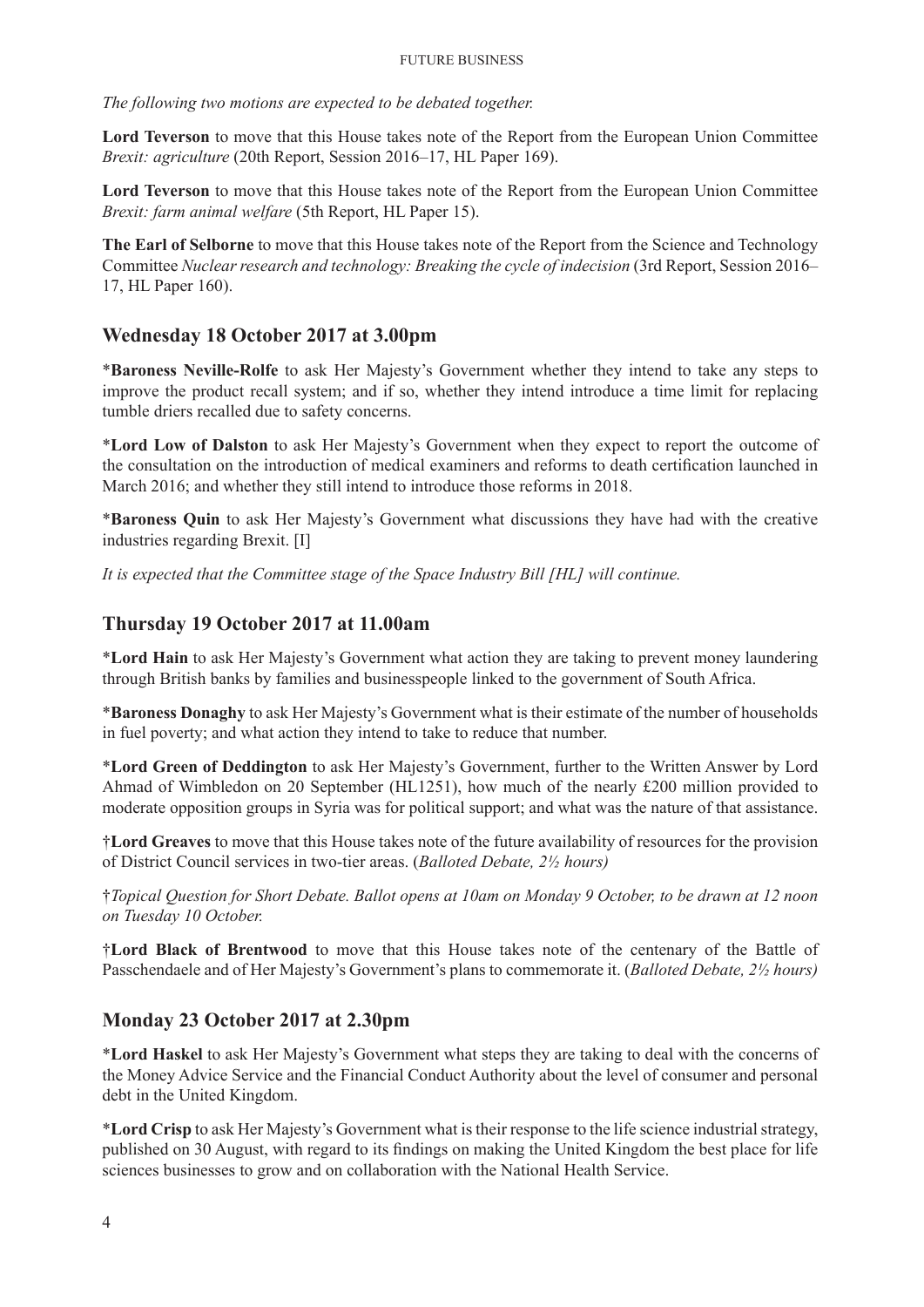*The following two motions are expected to be debated together.*

**Lord Teverson** to move that this House takes note of the Report from the European Union Committee *Brexit: agriculture* (20th Report, Session 2016–17, HL Paper 169).

**Lord Teverson** to move that this House takes note of the Report from the European Union Committee *Brexit: farm animal welfare* (5th Report, HL Paper 15).

**The Earl of Selborne** to move that this House takes note of the Report from the Science and Technology Committee *Nuclear research and technology: Breaking the cycle of indecision* (3rd Report, Session 2016– 17, HL Paper 160).

# **Wednesday 18 October 2017 at 3.00pm**

\***Baroness Neville-Rolfe** to ask Her Majesty's Government whether they intend to take any steps to improve the product recall system; and if so, whether they intend introduce a time limit for replacing tumble driers recalled due to safety concerns.

\***Lord Low of Dalston** to ask Her Majesty's Government when they expect to report the outcome of the consultation on the introduction of medical examiners and reforms to death certification launched in March 2016; and whether they still intend to introduce those reforms in 2018.

\***Baroness Quin** to ask Her Majesty's Government what discussions they have had with the creative industries regarding Brexit. [I]

*It is expected that the Committee stage of the Space Industry Bill [HL] will continue.*

## **Thursday 19 October 2017 at 11.00am**

\***Lord Hain** to ask Her Majesty's Government what action they are taking to prevent money laundering through British banks by families and businesspeople linked to the government of South Africa.

\***Baroness Donaghy** to ask Her Majesty's Government what is their estimate of the number of households in fuel poverty; and what action they intend to take to reduce that number.

\***Lord Green of Deddington** to ask Her Majesty's Government, further to the Written Answer by Lord Ahmad of Wimbledon on 20 September (HL1251), how much of the nearly £200 million provided to moderate opposition groups in Syria was for political support; and what was the nature of that assistance.

†**Lord Greaves** to move that this House takes note of the future availability of resources for the provision of District Council services in two-tier areas. (*Balloted Debate, 2½ hours)*

†*Topical Question for Short Debate. Ballot opens at 10am on Monday 9 October, to be drawn at 12 noon on Tuesday 10 October.*

†**Lord Black of Brentwood** to move that this House takes note of the centenary of the Battle of Passchendaele and of Her Majesty's Government's plans to commemorate it. (*Balloted Debate, 2½ hours)*

## **Monday 23 October 2017 at 2.30pm**

\***Lord Haskel** to ask Her Majesty's Government what steps they are taking to deal with the concerns of the Money Advice Service and the Financial Conduct Authority about the level of consumer and personal debt in the United Kingdom.

\***Lord Crisp** to ask Her Majesty's Government what is their response to the life science industrial strategy, published on 30 August, with regard to its findings on making the United Kingdom the best place for life sciences businesses to grow and on collaboration with the National Health Service.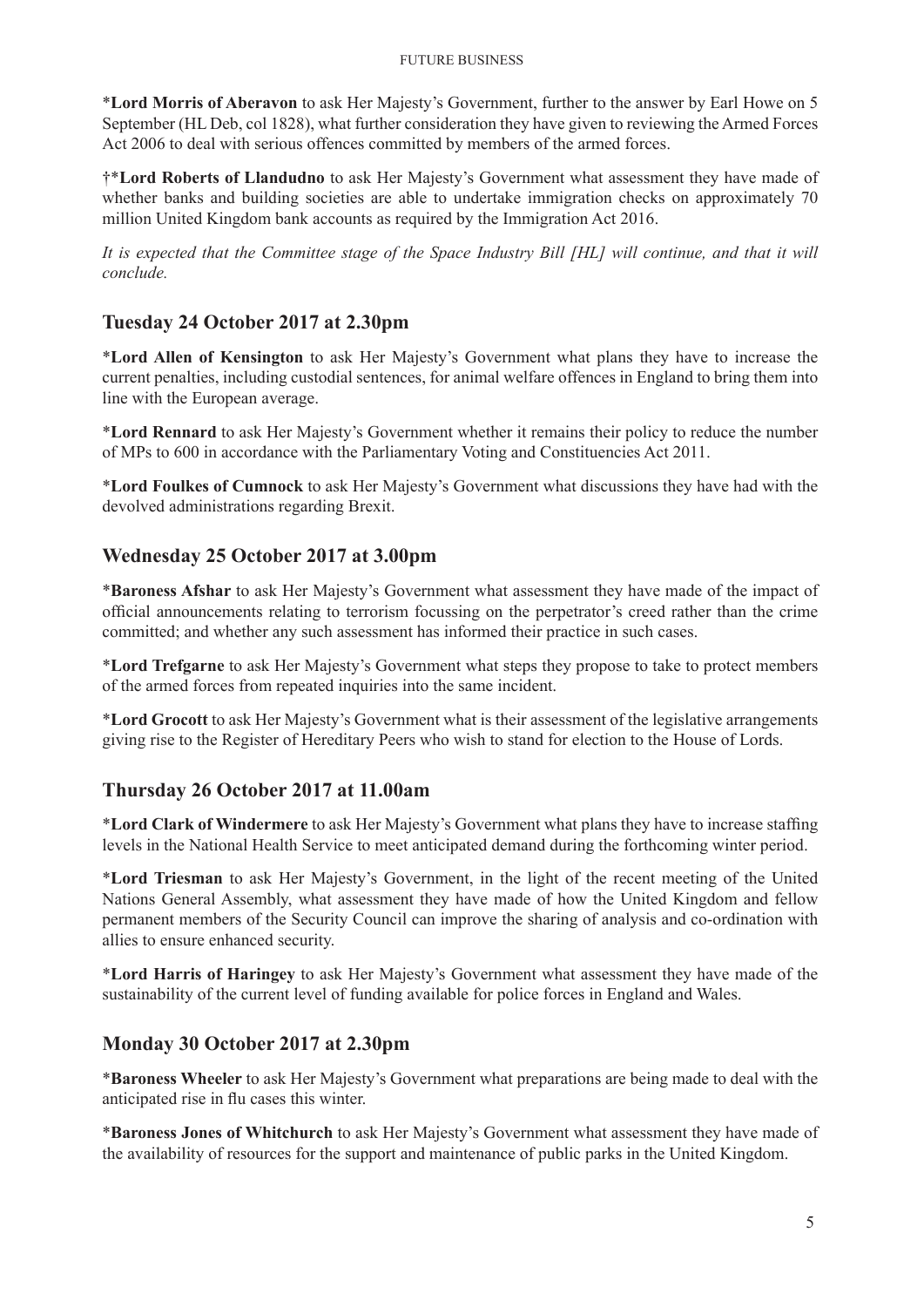\***Lord Morris of Aberavon** to ask Her Majesty's Government, further to the answer by Earl Howe on 5 September (HL Deb, col 1828), what further consideration they have given to reviewing the Armed Forces Act 2006 to deal with serious offences committed by members of the armed forces.

†\***Lord Roberts of Llandudno** to ask Her Majesty's Government what assessment they have made of whether banks and building societies are able to undertake immigration checks on approximately 70 million United Kingdom bank accounts as required by the Immigration Act 2016.

*It is expected that the Committee stage of the Space Industry Bill [HL] will continue, and that it will conclude.*

# **Tuesday 24 October 2017 at 2.30pm**

\***Lord Allen of Kensington** to ask Her Majesty's Government what plans they have to increase the current penalties, including custodial sentences, for animal welfare offences in England to bring them into line with the European average.

\***Lord Rennard** to ask Her Majesty's Government whether it remains their policy to reduce the number of MPs to 600 in accordance with the Parliamentary Voting and Constituencies Act 2011.

\***Lord Foulkes of Cumnock** to ask Her Majesty's Government what discussions they have had with the devolved administrations regarding Brexit.

# **Wednesday 25 October 2017 at 3.00pm**

\***Baroness Afshar** to ask Her Majesty's Government what assessment they have made of the impact of official announcements relating to terrorism focussing on the perpetrator's creed rather than the crime committed; and whether any such assessment has informed their practice in such cases.

\***Lord Trefgarne** to ask Her Majesty's Government what steps they propose to take to protect members of the armed forces from repeated inquiries into the same incident.

\***Lord Grocott** to ask Her Majesty's Government what is their assessment of the legislative arrangements giving rise to the Register of Hereditary Peers who wish to stand for election to the House of Lords.

## **Thursday 26 October 2017 at 11.00am**

\***Lord Clark of Windermere** to ask Her Majesty's Government what plans they have to increase staffing levels in the National Health Service to meet anticipated demand during the forthcoming winter period.

\***Lord Triesman** to ask Her Majesty's Government, in the light of the recent meeting of the United Nations General Assembly, what assessment they have made of how the United Kingdom and fellow permanent members of the Security Council can improve the sharing of analysis and co-ordination with allies to ensure enhanced security.

\***Lord Harris of Haringey** to ask Her Majesty's Government what assessment they have made of the sustainability of the current level of funding available for police forces in England and Wales.

## **Monday 30 October 2017 at 2.30pm**

\***Baroness Wheeler** to ask Her Majesty's Government what preparations are being made to deal with the anticipated rise in flu cases this winter.

\***Baroness Jones of Whitchurch** to ask Her Majesty's Government what assessment they have made of the availability of resources for the support and maintenance of public parks in the United Kingdom.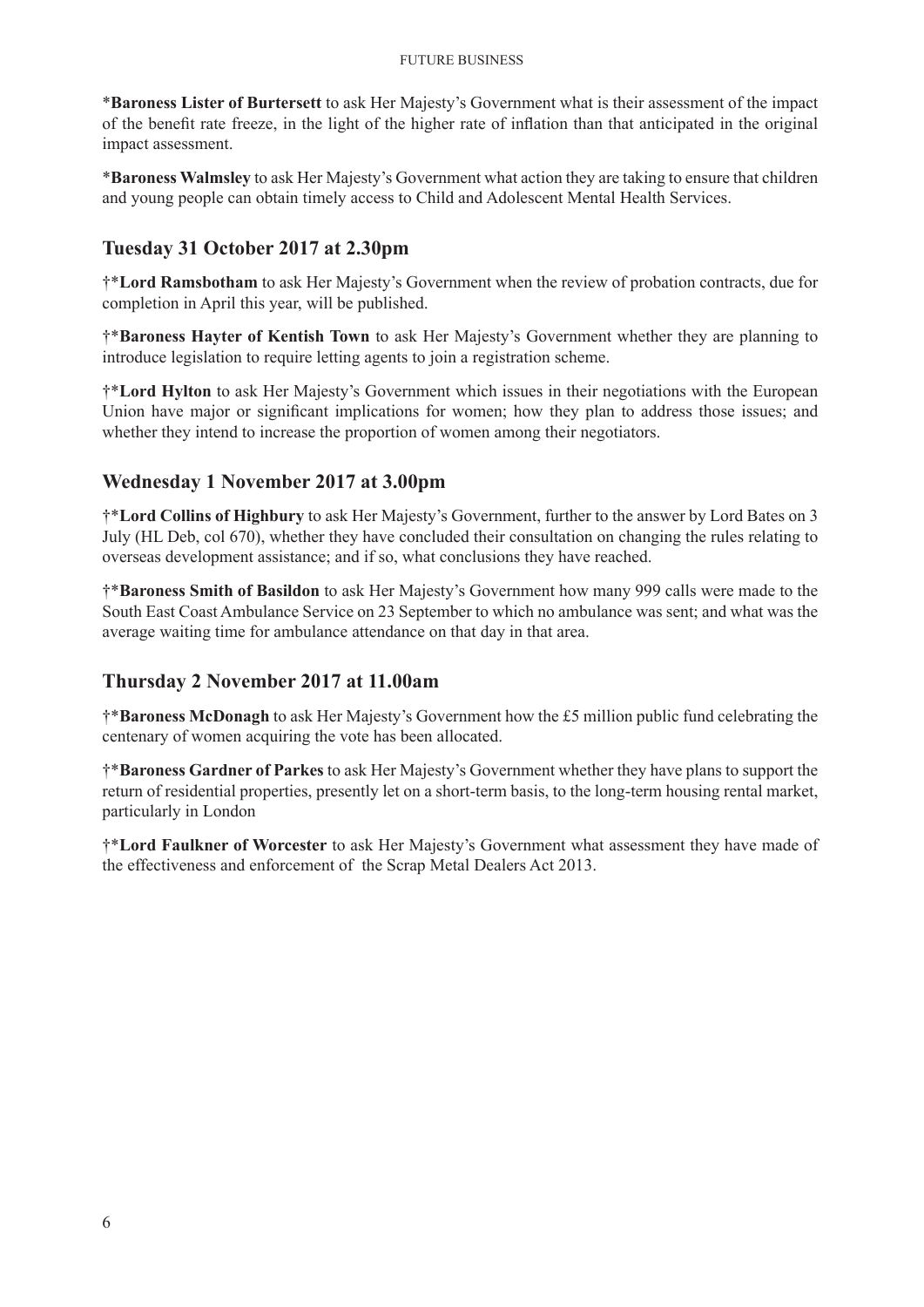\***Baroness Lister of Burtersett** to ask Her Majesty's Government what is their assessment of the impact of the benefit rate freeze, in the light of the higher rate of inflation than that anticipated in the original impact assessment.

\***Baroness Walmsley** to ask Her Majesty's Government what action they are taking to ensure that children and young people can obtain timely access to Child and Adolescent Mental Health Services.

# **Tuesday 31 October 2017 at 2.30pm**

†\***Lord Ramsbotham** to ask Her Majesty's Government when the review of probation contracts, due for completion in April this year, will be published.

†\***Baroness Hayter of Kentish Town** to ask Her Majesty's Government whether they are planning to introduce legislation to require letting agents to join a registration scheme.

†\***Lord Hylton** to ask Her Majesty's Government which issues in their negotiations with the European Union have major or significant implications for women; how they plan to address those issues; and whether they intend to increase the proportion of women among their negotiators.

# **Wednesday 1 November 2017 at 3.00pm**

†\***Lord Collins of Highbury** to ask Her Majesty's Government, further to the answer by Lord Bates on 3 July (HL Deb, col 670), whether they have concluded their consultation on changing the rules relating to overseas development assistance; and if so, what conclusions they have reached.

†\***Baroness Smith of Basildon** to ask Her Majesty's Government how many 999 calls were made to the South East Coast Ambulance Service on 23 September to which no ambulance was sent; and what was the average waiting time for ambulance attendance on that day in that area.

## **Thursday 2 November 2017 at 11.00am**

†\***Baroness McDonagh** to ask Her Majesty's Government how the £5 million public fund celebrating the centenary of women acquiring the vote has been allocated.

†\***Baroness Gardner of Parkes** to ask Her Majesty's Government whether they have plans to support the return of residential properties, presently let on a short-term basis, to the long-term housing rental market, particularly in London

†\***Lord Faulkner of Worcester** to ask Her Majesty's Government what assessment they have made of the effectiveness and enforcement of the Scrap Metal Dealers Act 2013.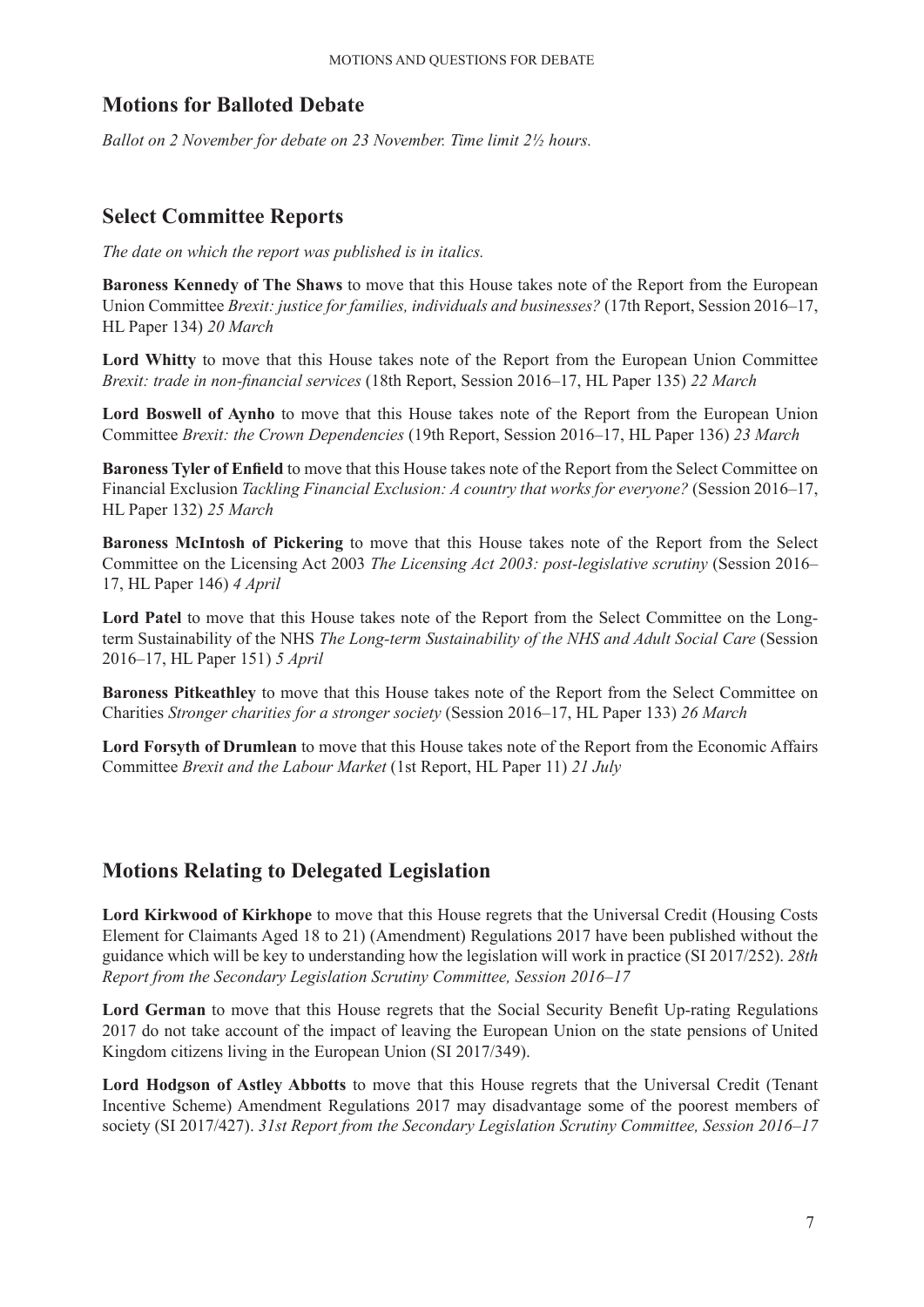# **Motions for Balloted Debate**

*Ballot on 2 November for debate on 23 November. Time limit 2½ hours.*

# **Select Committee Reports**

*The date on which the report was published is in italics.*

**Baroness Kennedy of The Shaws** to move that this House takes note of the Report from the European Union Committee *Brexit: justice for families, individuals and businesses?* (17th Report, Session 2016–17, HL Paper 134) *20 March*

**Lord Whitty** to move that this House takes note of the Report from the European Union Committee *Brexit: trade in non-financial services* (18th Report, Session 2016–17, HL Paper 135) *22 March*

**Lord Boswell of Aynho** to move that this House takes note of the Report from the European Union Committee *Brexit: the Crown Dependencies* (19th Report, Session 2016–17, HL Paper 136) *23 March*

**Baroness Tyler of Enfield** to move that this House takes note of the Report from the Select Committee on Financial Exclusion *Tackling Financial Exclusion: A country that works for everyone?* (Session 2016–17, HL Paper 132) *25 March*

**Baroness McIntosh of Pickering** to move that this House takes note of the Report from the Select Committee on the Licensing Act 2003 *The Licensing Act 2003: post-legislative scrutiny* (Session 2016– 17, HL Paper 146) *4 April*

**Lord Patel** to move that this House takes note of the Report from the Select Committee on the Longterm Sustainability of the NHS *The Long-term Sustainability of the NHS and Adult Social Care* (Session 2016–17, HL Paper 151) *5 April*

**Baroness Pitkeathley** to move that this House takes note of the Report from the Select Committee on Charities *Stronger charities for a stronger society* (Session 2016–17, HL Paper 133) *26 March*

**Lord Forsyth of Drumlean** to move that this House takes note of the Report from the Economic Affairs Committee *Brexit and the Labour Market* (1st Report, HL Paper 11) *21 July*

# **Motions Relating to Delegated Legislation**

**Lord Kirkwood of Kirkhope** to move that this House regrets that the Universal Credit (Housing Costs Element for Claimants Aged 18 to 21) (Amendment) Regulations 2017 have been published without the guidance which will be key to understanding how the legislation will work in practice (SI 2017/252). *28th Report from the Secondary Legislation Scrutiny Committee, Session 2016–17*

**Lord German** to move that this House regrets that the Social Security Benefit Up-rating Regulations 2017 do not take account of the impact of leaving the European Union on the state pensions of United Kingdom citizens living in the European Union (SI 2017/349).

Lord Hodgson of Astley Abbotts to move that this House regrets that the Universal Credit (Tenant Incentive Scheme) Amendment Regulations 2017 may disadvantage some of the poorest members of society (SI 2017/427). *31st Report from the Secondary Legislation Scrutiny Committee, Session 2016–17*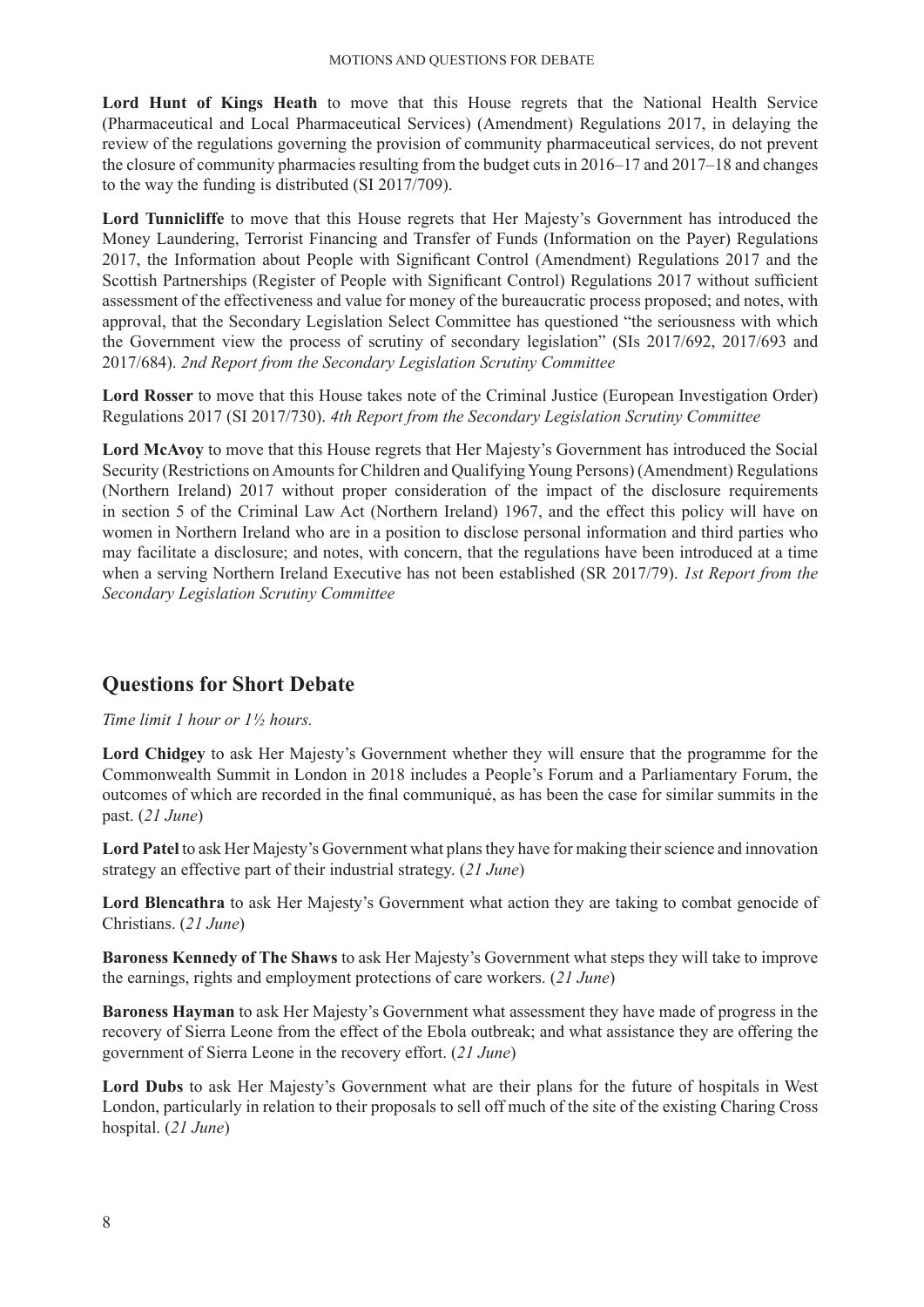**Lord Hunt of Kings Heath** to move that this House regrets that the National Health Service (Pharmaceutical and Local Pharmaceutical Services) (Amendment) Regulations 2017, in delaying the review of the regulations governing the provision of community pharmaceutical services, do not prevent the closure of community pharmacies resulting from the budget cuts in 2016–17 and 2017–18 and changes to the way the funding is distributed (SI 2017/709).

**Lord Tunnicliffe** to move that this House regrets that Her Majesty's Government has introduced the Money Laundering, Terrorist Financing and Transfer of Funds (Information on the Payer) Regulations 2017, the Information about People with Significant Control (Amendment) Regulations 2017 and the Scottish Partnerships (Register of People with Significant Control) Regulations 2017 without sufficient assessment of the effectiveness and value for money of the bureaucratic process proposed; and notes, with approval, that the Secondary Legislation Select Committee has questioned "the seriousness with which the Government view the process of scrutiny of secondary legislation" (SIs 2017/692, 2017/693 and 2017/684). *2nd Report from the Secondary Legislation Scrutiny Committee*

**Lord Rosser** to move that this House takes note of the Criminal Justice (European Investigation Order) Regulations 2017 (SI 2017/730). *4th Report from the Secondary Legislation Scrutiny Committee*

**Lord McAvoy** to move that this House regrets that Her Majesty's Government has introduced the Social Security (Restrictions on Amounts for Children and Qualifying Young Persons) (Amendment) Regulations (Northern Ireland) 2017 without proper consideration of the impact of the disclosure requirements in section 5 of the Criminal Law Act (Northern Ireland) 1967, and the effect this policy will have on women in Northern Ireland who are in a position to disclose personal information and third parties who may facilitate a disclosure; and notes, with concern, that the regulations have been introduced at a time when a serving Northern Ireland Executive has not been established (SR 2017/79). *1st Report from the Secondary Legislation Scrutiny Committee*

# **Questions for Short Debate**

*Time limit 1 hour or 1½ hours.*

**Lord Chidgey** to ask Her Majesty's Government whether they will ensure that the programme for the Commonwealth Summit in London in 2018 includes a People's Forum and a Parliamentary Forum, the outcomes of which are recorded in the final communiqué, as has been the case for similar summits in the past. (*21 June*)

**Lord Patel** to ask Her Majesty's Government what plans they have for making their science and innovation strategy an effective part of their industrial strategy. (*21 June*)

Lord Blencathra to ask Her Majesty's Government what action they are taking to combat genocide of Christians. (*21 June*)

**Baroness Kennedy of The Shaws** to ask Her Majesty's Government what steps they will take to improve the earnings, rights and employment protections of care workers. (*21 June*)

**Baroness Hayman** to ask Her Majesty's Government what assessment they have made of progress in the recovery of Sierra Leone from the effect of the Ebola outbreak; and what assistance they are offering the government of Sierra Leone in the recovery effort. (*21 June*)

**Lord Dubs** to ask Her Majesty's Government what are their plans for the future of hospitals in West London, particularly in relation to their proposals to sell off much of the site of the existing Charing Cross hospital. (*21 June*)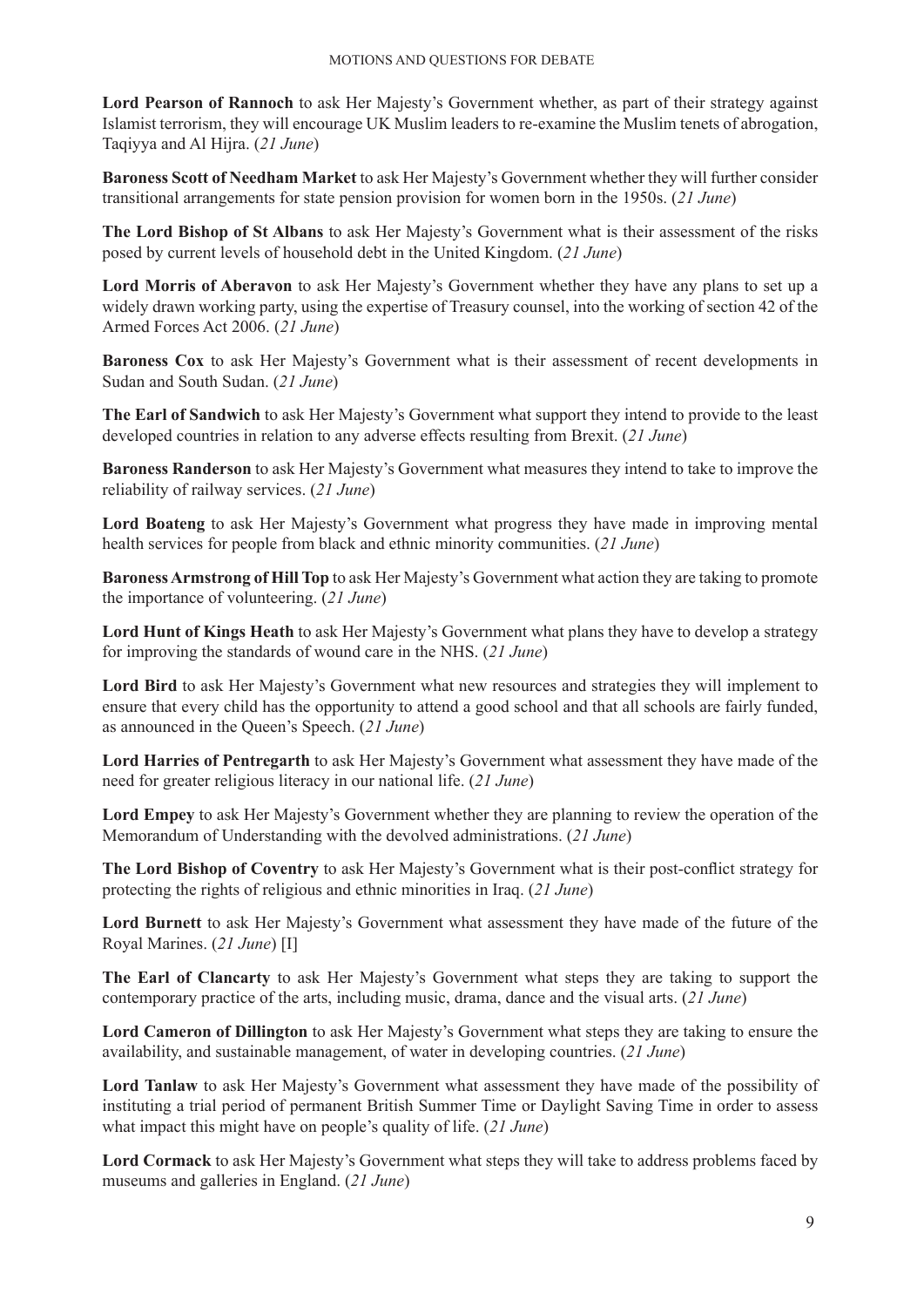**Lord Pearson of Rannoch** to ask Her Majesty's Government whether, as part of their strategy against Islamist terrorism, they will encourage UK Muslim leaders to re-examine the Muslim tenets of abrogation, Taqiyya and Al Hijra. (*21 June*)

**Baroness Scott of Needham Market** to ask Her Majesty's Government whether they will further consider transitional arrangements for state pension provision for women born in the 1950s. (*21 June*)

**The Lord Bishop of St Albans** to ask Her Majesty's Government what is their assessment of the risks posed by current levels of household debt in the United Kingdom. (*21 June*)

**Lord Morris of Aberavon** to ask Her Majesty's Government whether they have any plans to set up a widely drawn working party, using the expertise of Treasury counsel, into the working of section 42 of the Armed Forces Act 2006. (*21 June*)

**Baroness Cox** to ask Her Majesty's Government what is their assessment of recent developments in Sudan and South Sudan. (*21 June*)

**The Earl of Sandwich** to ask Her Majesty's Government what support they intend to provide to the least developed countries in relation to any adverse effects resulting from Brexit. (*21 June*)

**Baroness Randerson** to ask Her Majesty's Government what measures they intend to take to improve the reliability of railway services. (*21 June*)

**Lord Boateng** to ask Her Majesty's Government what progress they have made in improving mental health services for people from black and ethnic minority communities. (*21 June*)

**Baroness Armstrong of Hill Top** to ask Her Majesty's Government what action they are taking to promote the importance of volunteering. (*21 June*)

**Lord Hunt of Kings Heath** to ask Her Majesty's Government what plans they have to develop a strategy for improving the standards of wound care in the NHS. (*21 June*)

**Lord Bird** to ask Her Majesty's Government what new resources and strategies they will implement to ensure that every child has the opportunity to attend a good school and that all schools are fairly funded, as announced in the Queen's Speech. (*21 June*)

**Lord Harries of Pentregarth** to ask Her Majesty's Government what assessment they have made of the need for greater religious literacy in our national life. (*21 June*)

**Lord Empey** to ask Her Majesty's Government whether they are planning to review the operation of the Memorandum of Understanding with the devolved administrations. (*21 June*)

**The Lord Bishop of Coventry** to ask Her Majesty's Government what is their post-conflict strategy for protecting the rights of religious and ethnic minorities in Iraq. (*21 June*)

**Lord Burnett** to ask Her Majesty's Government what assessment they have made of the future of the Royal Marines. (*21 June*) [I]

**The Earl of Clancarty** to ask Her Majesty's Government what steps they are taking to support the contemporary practice of the arts, including music, drama, dance and the visual arts. (*21 June*)

**Lord Cameron of Dillington** to ask Her Majesty's Government what steps they are taking to ensure the availability, and sustainable management, of water in developing countries. (*21 June*)

**Lord Tanlaw** to ask Her Majesty's Government what assessment they have made of the possibility of instituting a trial period of permanent British Summer Time or Daylight Saving Time in order to assess what impact this might have on people's quality of life. (*21 June*)

**Lord Cormack** to ask Her Majesty's Government what steps they will take to address problems faced by museums and galleries in England. (*21 June*)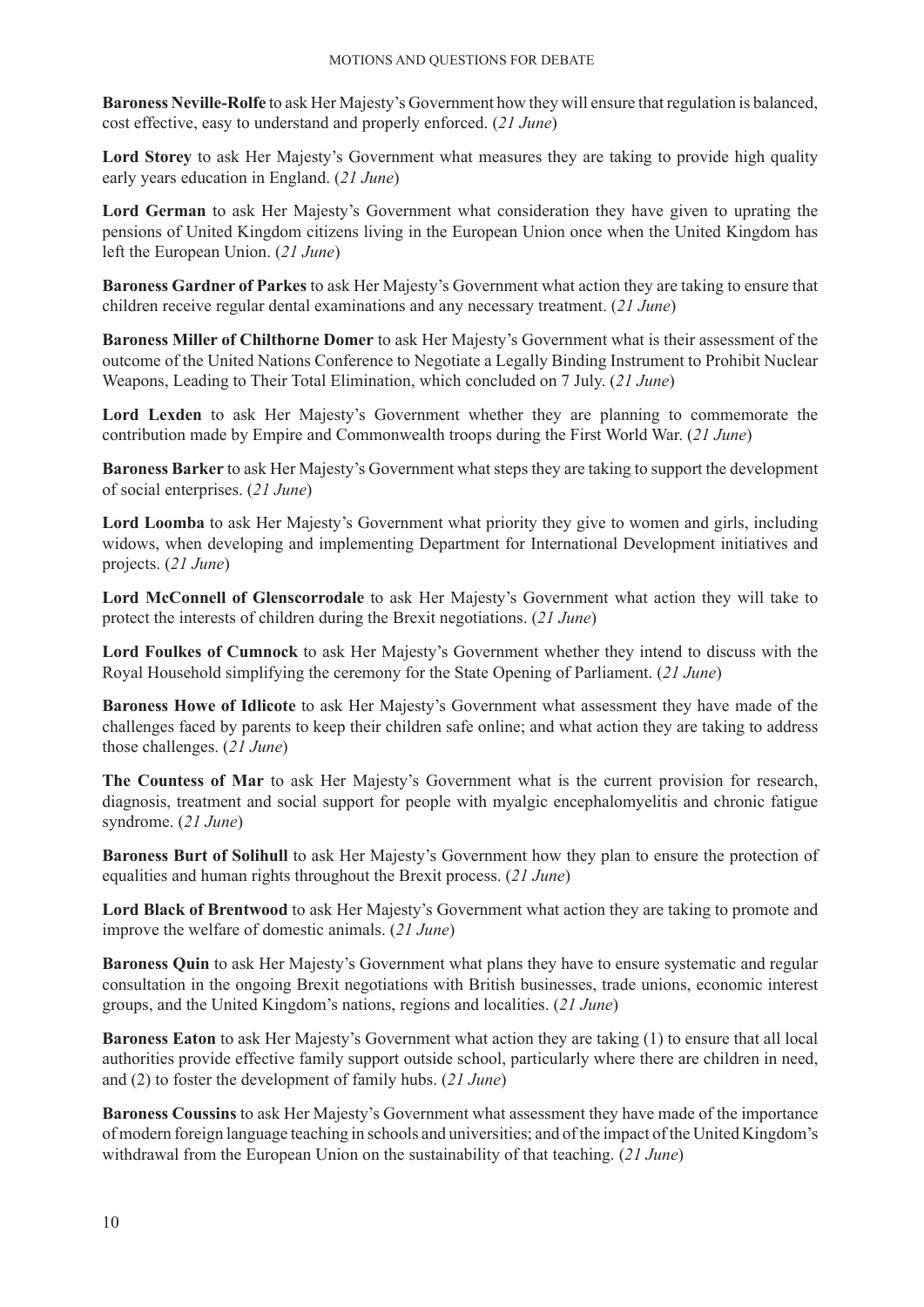**Baroness Neville-Rolfe** to ask Her Majesty's Government how they will ensure that regulation is balanced, cost effective, easy to understand and properly enforced. (*21 June*)

**Lord Storey** to ask Her Majesty's Government what measures they are taking to provide high quality early years education in England. (*21 June*)

**Lord German** to ask Her Majesty's Government what consideration they have given to uprating the pensions of United Kingdom citizens living in the European Union once when the United Kingdom has left the European Union. (*21 June*)

**Baroness Gardner of Parkes** to ask Her Majesty's Government what action they are taking to ensure that children receive regular dental examinations and any necessary treatment. (*21 June*)

**Baroness Miller of Chilthorne Domer** to ask Her Majesty's Government what is their assessment of the outcome of the United Nations Conference to Negotiate a Legally Binding Instrument to Prohibit Nuclear Weapons, Leading to Their Total Elimination, which concluded on 7 July. (*21 June*)

**Lord Lexden** to ask Her Majesty's Government whether they are planning to commemorate the contribution made by Empire and Commonwealth troops during the First World War. (*21 June*)

**Baroness Barker** to ask Her Majesty's Government what steps they are taking to support the development of social enterprises. (*21 June*)

**Lord Loomba** to ask Her Majesty's Government what priority they give to women and girls, including widows, when developing and implementing Department for International Development initiatives and projects. (*21 June*)

**Lord McConnell of Glenscorrodale** to ask Her Majesty's Government what action they will take to protect the interests of children during the Brexit negotiations. (*21 June*)

**Lord Foulkes of Cumnock** to ask Her Majesty's Government whether they intend to discuss with the Royal Household simplifying the ceremony for the State Opening of Parliament. (*21 June*)

**Baroness Howe of Idlicote** to ask Her Majesty's Government what assessment they have made of the challenges faced by parents to keep their children safe online; and what action they are taking to address those challenges. (*21 June*)

**The Countess of Mar** to ask Her Majesty's Government what is the current provision for research, diagnosis, treatment and social support for people with myalgic encephalomyelitis and chronic fatigue syndrome. (*21 June*)

**Baroness Burt of Solihull** to ask Her Majesty's Government how they plan to ensure the protection of equalities and human rights throughout the Brexit process. (*21 June*)

**Lord Black of Brentwood** to ask Her Majesty's Government what action they are taking to promote and improve the welfare of domestic animals. (*21 June*)

**Baroness Quin** to ask Her Majesty's Government what plans they have to ensure systematic and regular consultation in the ongoing Brexit negotiations with British businesses, trade unions, economic interest groups, and the United Kingdom's nations, regions and localities. (*21 June*)

**Baroness Eaton** to ask Her Majesty's Government what action they are taking (1) to ensure that all local authorities provide effective family support outside school, particularly where there are children in need, and (2) to foster the development of family hubs. (*21 June*)

**Baroness Coussins** to ask Her Majesty's Government what assessment they have made of the importance of modern foreign language teaching in schools and universities; and of the impact of the United Kingdom's withdrawal from the European Union on the sustainability of that teaching. (*21 June*)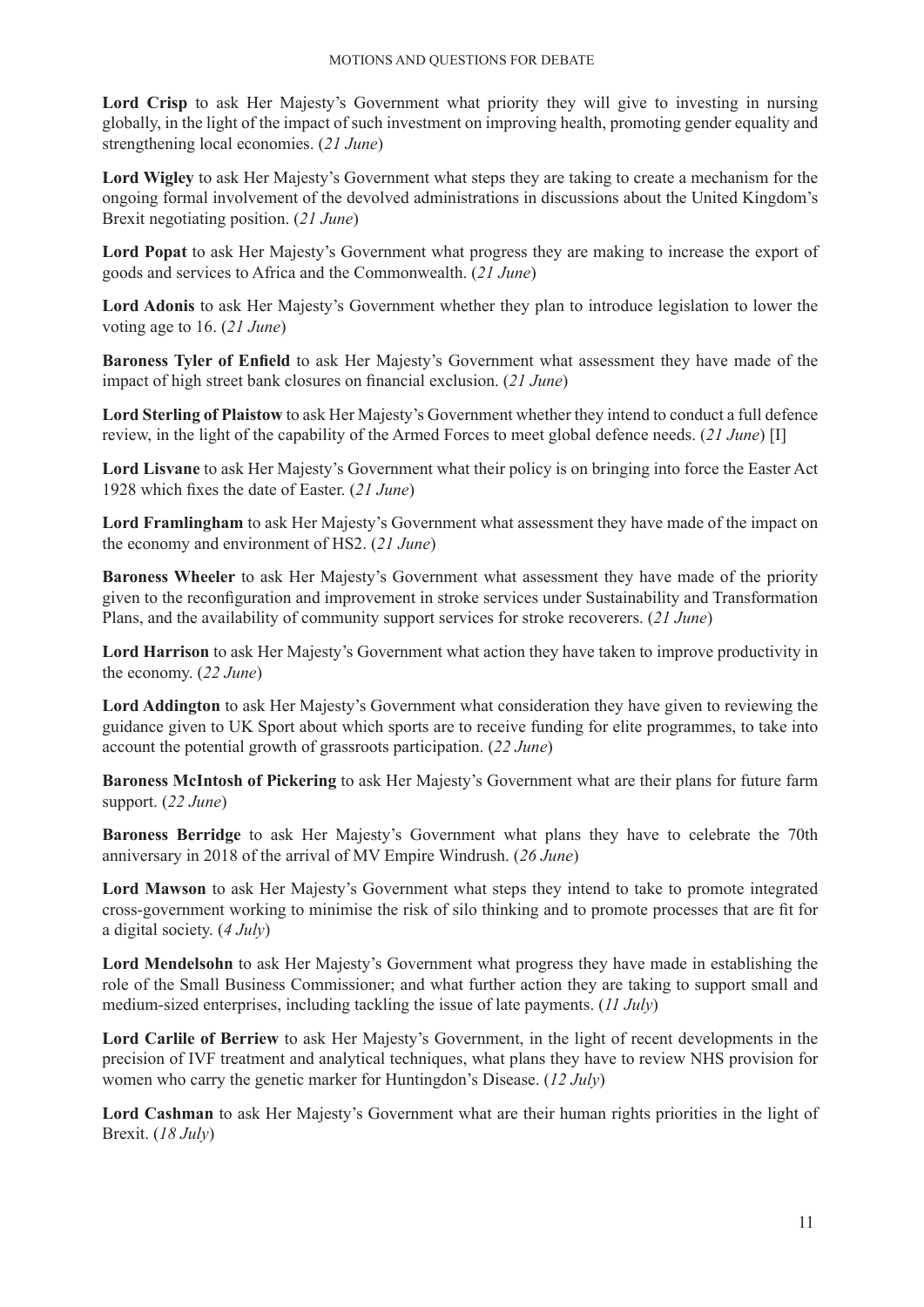**Lord Crisp** to ask Her Majesty's Government what priority they will give to investing in nursing globally, in the light of the impact of such investment on improving health, promoting gender equality and strengthening local economies. (*21 June*)

**Lord Wigley** to ask Her Majesty's Government what steps they are taking to create a mechanism for the ongoing formal involvement of the devolved administrations in discussions about the United Kingdom's Brexit negotiating position. (*21 June*)

**Lord Popat** to ask Her Majesty's Government what progress they are making to increase the export of goods and services to Africa and the Commonwealth. (*21 June*)

**Lord Adonis** to ask Her Majesty's Government whether they plan to introduce legislation to lower the voting age to 16. (*21 June*)

**Baroness Tyler of Enfield** to ask Her Majesty's Government what assessment they have made of the impact of high street bank closures on financial exclusion. (*21 June*)

**Lord Sterling of Plaistow** to ask Her Majesty's Government whether they intend to conduct a full defence review, in the light of the capability of the Armed Forces to meet global defence needs. (*21 June*) [I]

**Lord Lisvane** to ask Her Majesty's Government what their policy is on bringing into force the Easter Act 1928 which fixes the date of Easter. (*21 June*)

**Lord Framlingham** to ask Her Majesty's Government what assessment they have made of the impact on the economy and environment of HS2. (*21 June*)

**Baroness Wheeler** to ask Her Majesty's Government what assessment they have made of the priority given to the reconfiguration and improvement in stroke services under Sustainability and Transformation Plans, and the availability of community support services for stroke recoverers. (*21 June*)

**Lord Harrison** to ask Her Majesty's Government what action they have taken to improve productivity in the economy. (*22 June*)

**Lord Addington** to ask Her Majesty's Government what consideration they have given to reviewing the guidance given to UK Sport about which sports are to receive funding for elite programmes, to take into account the potential growth of grassroots participation. (*22 June*)

**Baroness McIntosh of Pickering** to ask Her Majesty's Government what are their plans for future farm support. (*22 June*)

**Baroness Berridge** to ask Her Majesty's Government what plans they have to celebrate the 70th anniversary in 2018 of the arrival of MV Empire Windrush. (*26 June*)

**Lord Mawson** to ask Her Majesty's Government what steps they intend to take to promote integrated cross-government working to minimise the risk of silo thinking and to promote processes that are fit for a digital society. (*4 July*)

**Lord Mendelsohn** to ask Her Majesty's Government what progress they have made in establishing the role of the Small Business Commissioner; and what further action they are taking to support small and medium-sized enterprises, including tackling the issue of late payments. (*11 July*)

**Lord Carlile of Berriew** to ask Her Majesty's Government, in the light of recent developments in the precision of IVF treatment and analytical techniques, what plans they have to review NHS provision for women who carry the genetic marker for Huntingdon's Disease. (*12 July*)

**Lord Cashman** to ask Her Majesty's Government what are their human rights priorities in the light of Brexit. (*18 July*)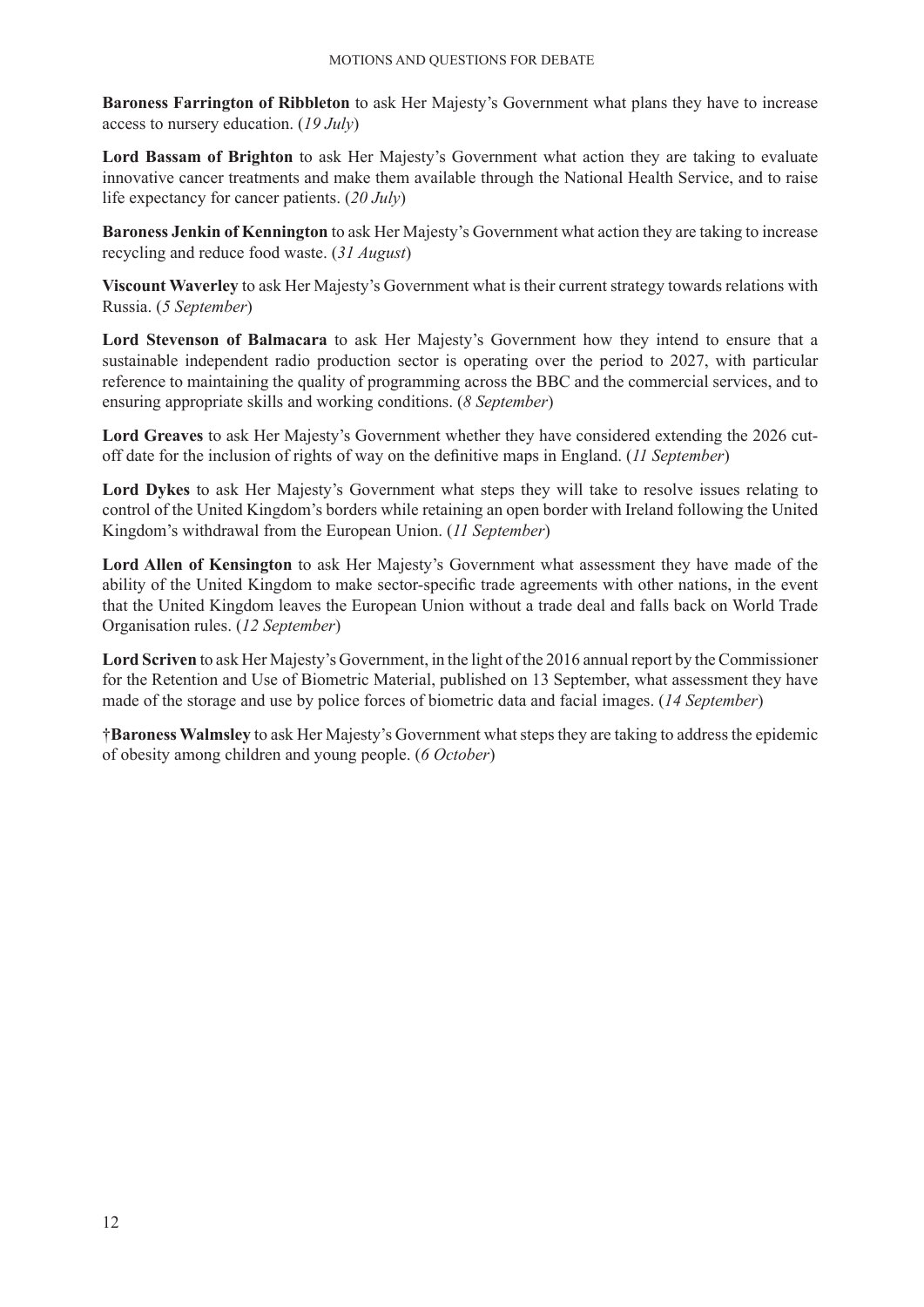**Baroness Farrington of Ribbleton** to ask Her Majesty's Government what plans they have to increase access to nursery education. (*19 July*)

Lord Bassam of Brighton to ask Her Majesty's Government what action they are taking to evaluate innovative cancer treatments and make them available through the National Health Service, and to raise life expectancy for cancer patients. (*20 July*)

**Baroness Jenkin of Kennington** to ask Her Majesty's Government what action they are taking to increase recycling and reduce food waste. (*31 August*)

**Viscount Waverley** to ask Her Majesty's Government what is their current strategy towards relations with Russia. (*5 September*)

**Lord Stevenson of Balmacara** to ask Her Majesty's Government how they intend to ensure that a sustainable independent radio production sector is operating over the period to 2027, with particular reference to maintaining the quality of programming across the BBC and the commercial services, and to ensuring appropriate skills and working conditions. (*8 September*)

**Lord Greaves** to ask Her Majesty's Government whether they have considered extending the 2026 cutoff date for the inclusion of rights of way on the definitive maps in England. (*11 September*)

**Lord Dykes** to ask Her Majesty's Government what steps they will take to resolve issues relating to control of the United Kingdom's borders while retaining an open border with Ireland following the United Kingdom's withdrawal from the European Union. (*11 September*)

**Lord Allen of Kensington** to ask Her Majesty's Government what assessment they have made of the ability of the United Kingdom to make sector-specific trade agreements with other nations, in the event that the United Kingdom leaves the European Union without a trade deal and falls back on World Trade Organisation rules. (*12 September*)

**Lord Scriven** to ask Her Majesty's Government, in the light of the 2016 annual report by the Commissioner for the Retention and Use of Biometric Material, published on 13 September, what assessment they have made of the storage and use by police forces of biometric data and facial images. (*14 September*)

†**Baroness Walmsley** to ask Her Majesty's Government what steps they are taking to address the epidemic of obesity among children and young people. (*6 October*)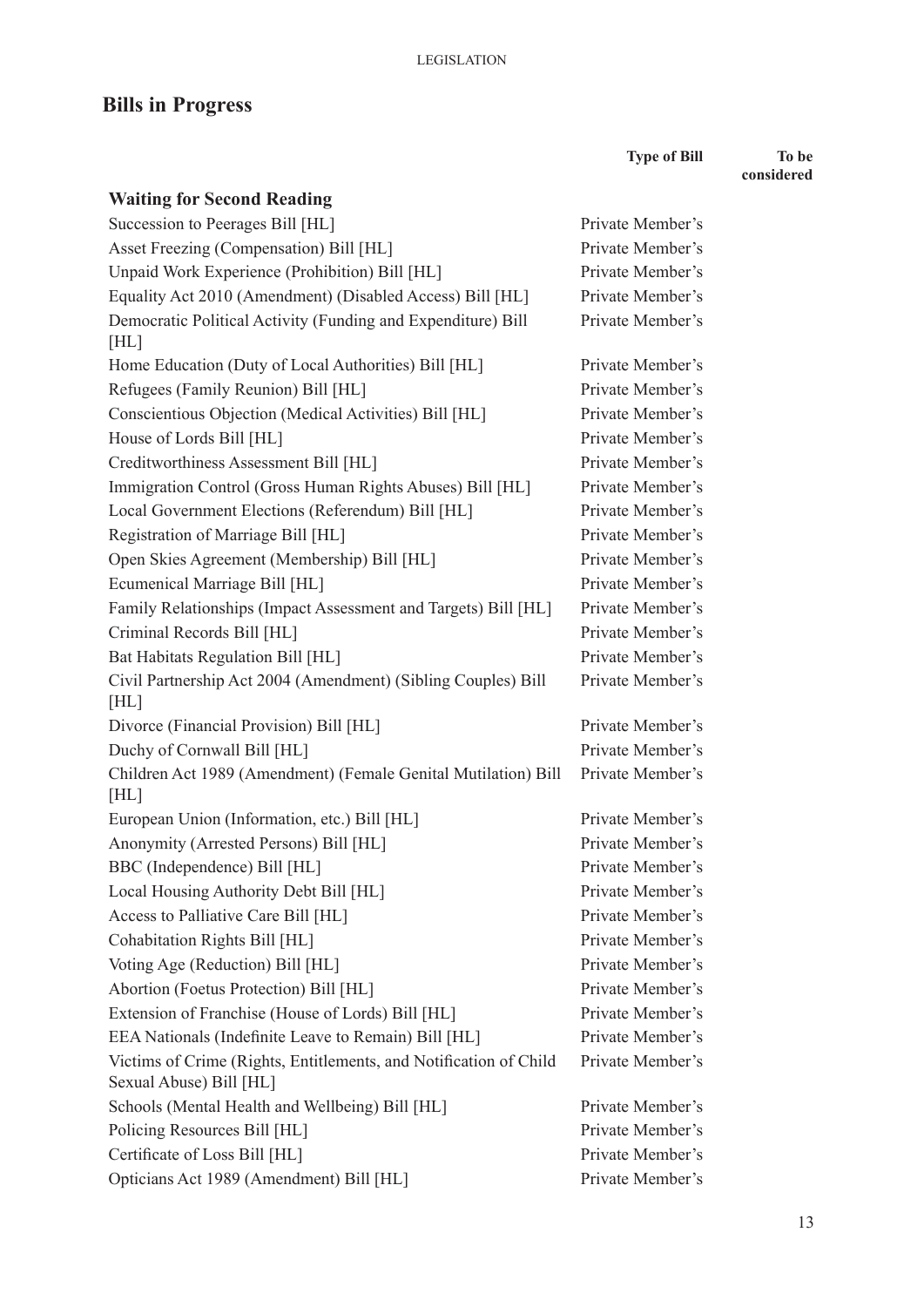# **Bills in Progress**

**Type of Bill To be** 

**considered**

| <b>Waiting for Second Reading</b>                                                            |                  |
|----------------------------------------------------------------------------------------------|------------------|
| Succession to Peerages Bill [HL]                                                             | Private Member's |
| Asset Freezing (Compensation) Bill [HL]                                                      | Private Member's |
| Unpaid Work Experience (Prohibition) Bill [HL]                                               | Private Member's |
| Equality Act 2010 (Amendment) (Disabled Access) Bill [HL]                                    | Private Member's |
| Democratic Political Activity (Funding and Expenditure) Bill<br>[HL]                         | Private Member's |
| Home Education (Duty of Local Authorities) Bill [HL]                                         | Private Member's |
| Refugees (Family Reunion) Bill [HL]                                                          | Private Member's |
| Conscientious Objection (Medical Activities) Bill [HL]                                       | Private Member's |
| House of Lords Bill [HL]                                                                     | Private Member's |
| Creditworthiness Assessment Bill [HL]                                                        | Private Member's |
| Immigration Control (Gross Human Rights Abuses) Bill [HL]                                    | Private Member's |
| Local Government Elections (Referendum) Bill [HL]                                            | Private Member's |
| Registration of Marriage Bill [HL]                                                           | Private Member's |
| Open Skies Agreement (Membership) Bill [HL]                                                  | Private Member's |
| Ecumenical Marriage Bill [HL]                                                                | Private Member's |
| Family Relationships (Impact Assessment and Targets) Bill [HL]                               | Private Member's |
| Criminal Records Bill [HL]                                                                   | Private Member's |
| Bat Habitats Regulation Bill [HL]                                                            | Private Member's |
| Civil Partnership Act 2004 (Amendment) (Sibling Couples) Bill<br>[HL]                        | Private Member's |
| Divorce (Financial Provision) Bill [HL]                                                      | Private Member's |
| Duchy of Cornwall Bill [HL]                                                                  | Private Member's |
| Children Act 1989 (Amendment) (Female Genital Mutilation) Bill<br>[HL]                       | Private Member's |
| European Union (Information, etc.) Bill [HL]                                                 | Private Member's |
| Anonymity (Arrested Persons) Bill [HL]                                                       | Private Member's |
| BBC (Independence) Bill [HL]                                                                 | Private Member's |
| Local Housing Authority Debt Bill [HL]                                                       | Private Member's |
| Access to Palliative Care Bill [HL]                                                          | Private Member's |
| Cohabitation Rights Bill [HL]                                                                | Private Member's |
| Voting Age (Reduction) Bill [HL]                                                             | Private Member's |
| Abortion (Foetus Protection) Bill [HL]                                                       | Private Member's |
| Extension of Franchise (House of Lords) Bill [HL]                                            | Private Member's |
| EEA Nationals (Indefinite Leave to Remain) Bill [HL]                                         | Private Member's |
| Victims of Crime (Rights, Entitlements, and Notification of Child<br>Sexual Abuse) Bill [HL] | Private Member's |
| Schools (Mental Health and Wellbeing) Bill [HL]                                              | Private Member's |
| Policing Resources Bill [HL]                                                                 | Private Member's |
| Certificate of Loss Bill [HL]                                                                | Private Member's |
| Opticians Act 1989 (Amendment) Bill [HL]                                                     | Private Member's |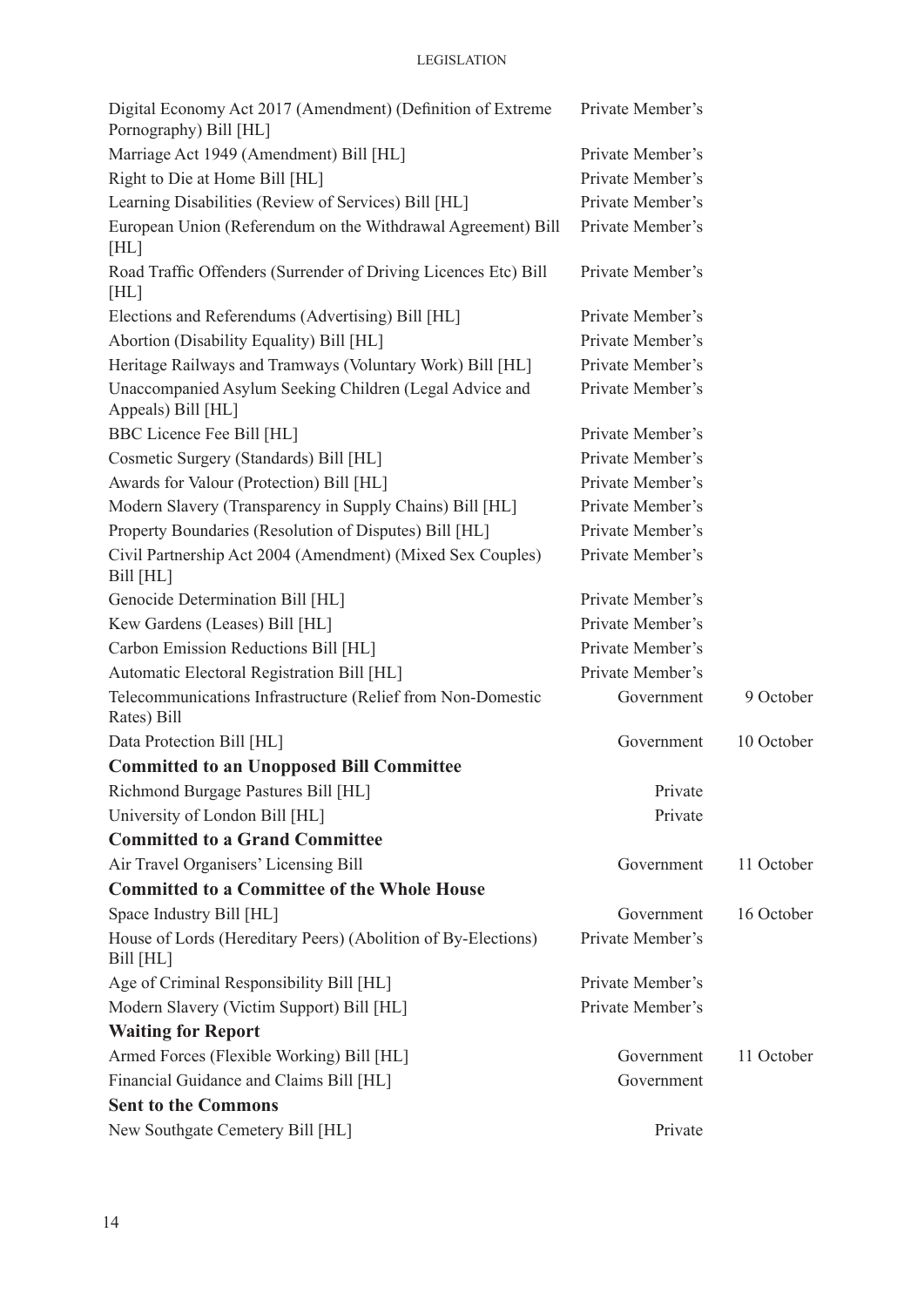#### **LEGISLATION**

| Digital Economy Act 2017 (Amendment) (Definition of Extreme<br>Pornography) Bill [HL] | Private Member's |            |
|---------------------------------------------------------------------------------------|------------------|------------|
| Marriage Act 1949 (Amendment) Bill [HL]                                               | Private Member's |            |
| Right to Die at Home Bill [HL]                                                        | Private Member's |            |
| Learning Disabilities (Review of Services) Bill [HL]                                  | Private Member's |            |
| European Union (Referendum on the Withdrawal Agreement) Bill<br>[HL]                  | Private Member's |            |
| Road Traffic Offenders (Surrender of Driving Licences Etc) Bill<br>[HL]               | Private Member's |            |
| Elections and Referendums (Advertising) Bill [HL]                                     | Private Member's |            |
| Abortion (Disability Equality) Bill [HL]                                              | Private Member's |            |
| Heritage Railways and Tramways (Voluntary Work) Bill [HL]                             | Private Member's |            |
| Unaccompanied Asylum Seeking Children (Legal Advice and<br>Appeals) Bill [HL]         | Private Member's |            |
| <b>BBC Licence Fee Bill [HL]</b>                                                      | Private Member's |            |
| Cosmetic Surgery (Standards) Bill [HL]                                                | Private Member's |            |
| Awards for Valour (Protection) Bill [HL]                                              | Private Member's |            |
| Modern Slavery (Transparency in Supply Chains) Bill [HL]                              | Private Member's |            |
| Property Boundaries (Resolution of Disputes) Bill [HL]                                | Private Member's |            |
| Civil Partnership Act 2004 (Amendment) (Mixed Sex Couples)<br>Bill [HL]               | Private Member's |            |
| Genocide Determination Bill [HL]                                                      | Private Member's |            |
| Kew Gardens (Leases) Bill [HL]                                                        | Private Member's |            |
| Carbon Emission Reductions Bill [HL]                                                  | Private Member's |            |
| Automatic Electoral Registration Bill [HL]                                            | Private Member's |            |
| Telecommunications Infrastructure (Relief from Non-Domestic<br>Rates) Bill            | Government       | 9 October  |
| Data Protection Bill [HL]                                                             | Government       | 10 October |
| <b>Committed to an Unopposed Bill Committee</b>                                       |                  |            |
| Richmond Burgage Pastures Bill [HL]                                                   | Private          |            |
| University of London Bill [HL]                                                        | Private          |            |
| <b>Committed to a Grand Committee</b>                                                 |                  |            |
| Air Travel Organisers' Licensing Bill                                                 | Government       | 11 October |
| <b>Committed to a Committee of the Whole House</b>                                    |                  |            |
| Space Industry Bill [HL]                                                              | Government       | 16 October |
| House of Lords (Hereditary Peers) (Abolition of By-Elections)<br>Bill [HL]            | Private Member's |            |
| Age of Criminal Responsibility Bill [HL]                                              | Private Member's |            |
| Modern Slavery (Victim Support) Bill [HL]                                             | Private Member's |            |
| <b>Waiting for Report</b>                                                             |                  |            |
| Armed Forces (Flexible Working) Bill [HL]                                             | Government       | 11 October |
| Financial Guidance and Claims Bill [HL]                                               | Government       |            |
| <b>Sent to the Commons</b>                                                            |                  |            |
| New Southgate Cemetery Bill [HL]                                                      | Private          |            |
|                                                                                       |                  |            |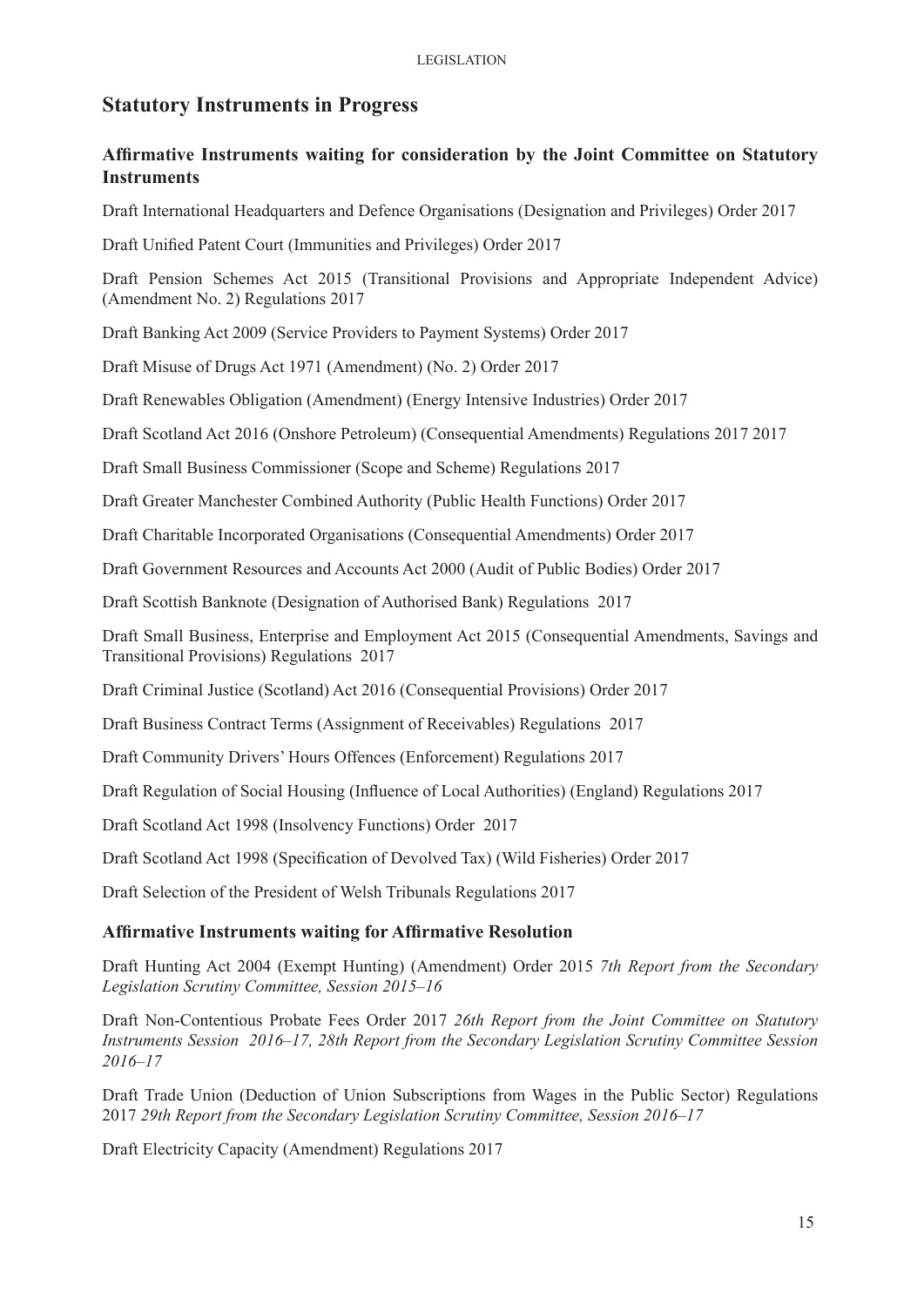# **Statutory Instruments in Progress**

# **Affirmative Instruments waiting for consideration by the Joint Committee on Statutory Instruments**

Draft International Headquarters and Defence Organisations (Designation and Privileges) Order 2017

Draft Unified Patent Court (Immunities and Privileges) Order 2017

Draft Pension Schemes Act 2015 (Transitional Provisions and Appropriate Independent Advice) (Amendment No. 2) Regulations 2017

Draft Banking Act 2009 (Service Providers to Payment Systems) Order 2017

Draft Misuse of Drugs Act 1971 (Amendment) (No. 2) Order 2017

Draft Renewables Obligation (Amendment) (Energy Intensive Industries) Order 2017

Draft Scotland Act 2016 (Onshore Petroleum) (Consequential Amendments) Regulations 2017 2017

Draft Small Business Commissioner (Scope and Scheme) Regulations 2017

Draft Greater Manchester Combined Authority (Public Health Functions) Order 2017

Draft Charitable Incorporated Organisations (Consequential Amendments) Order 2017

Draft Government Resources and Accounts Act 2000 (Audit of Public Bodies) Order 2017

Draft Scottish Banknote (Designation of Authorised Bank) Regulations 2017

Draft Small Business, Enterprise and Employment Act 2015 (Consequential Amendments, Savings and Transitional Provisions) Regulations 2017

Draft Criminal Justice (Scotland) Act 2016 (Consequential Provisions) Order 2017

Draft Business Contract Terms (Assignment of Receivables) Regulations 2017

Draft Community Drivers' Hours Offences (Enforcement) Regulations 2017

Draft Regulation of Social Housing (Influence of Local Authorities) (England) Regulations 2017

Draft Scotland Act 1998 (Insolvency Functions) Order 2017

Draft Scotland Act 1998 (Specification of Devolved Tax) (Wild Fisheries) Order 2017

Draft Selection of the President of Welsh Tribunals Regulations 2017

#### **Affirmative Instruments waiting for Affirmative Resolution**

Draft Hunting Act 2004 (Exempt Hunting) (Amendment) Order 2015 *7th Report from the Secondary Legislation Scrutiny Committee, Session 2015–16*

Draft Non-Contentious Probate Fees Order 2017 *26th Report from the Joint Committee on Statutory Instruments Session 2016–17, 28th Report from the Secondary Legislation Scrutiny Committee Session 2016–17*

Draft Trade Union (Deduction of Union Subscriptions from Wages in the Public Sector) Regulations 2017 *29th Report from the Secondary Legislation Scrutiny Committee, Session 2016–17*

Draft Electricity Capacity (Amendment) Regulations 2017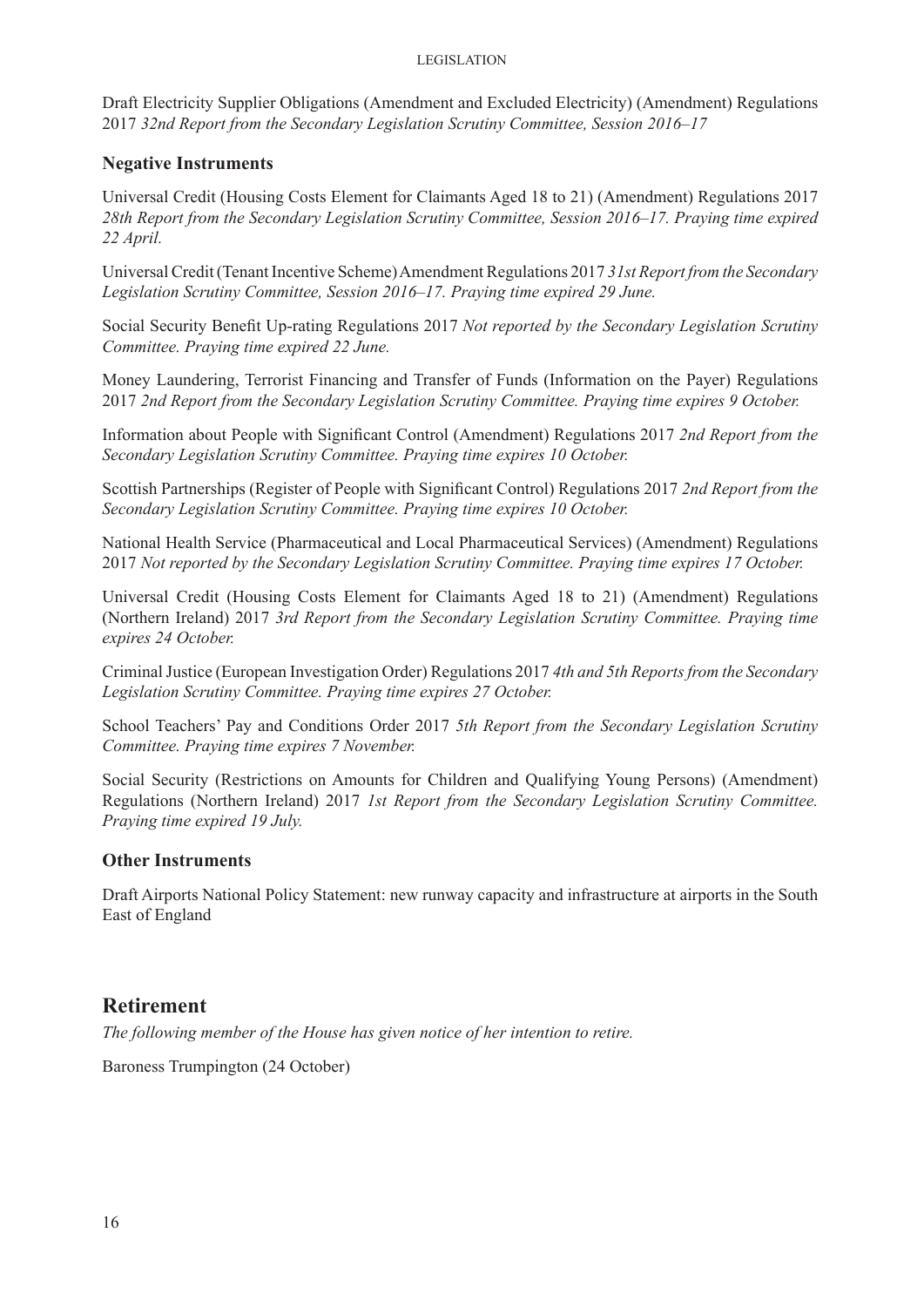Draft Electricity Supplier Obligations (Amendment and Excluded Electricity) (Amendment) Regulations 2017 *32nd Report from the Secondary Legislation Scrutiny Committee, Session 2016–17*

#### **Negative Instruments**

Universal Credit (Housing Costs Element for Claimants Aged 18 to 21) (Amendment) Regulations 2017 *28th Report from the Secondary Legislation Scrutiny Committee, Session 2016–17. Praying time expired 22 April.* 

Universal Credit (Tenant Incentive Scheme) Amendment Regulations 2017 *31st Report from the Secondary Legislation Scrutiny Committee, Session 2016–17. Praying time expired 29 June.* 

Social Security Benefit Up-rating Regulations 2017 *Not reported by the Secondary Legislation Scrutiny Committee. Praying time expired 22 June.*

Money Laundering, Terrorist Financing and Transfer of Funds (Information on the Payer) Regulations 2017 *2nd Report from the Secondary Legislation Scrutiny Committee. Praying time expires 9 October.* 

Information about People with Significant Control (Amendment) Regulations 2017 *2nd Report from the Secondary Legislation Scrutiny Committee. Praying time expires 10 October.* 

Scottish Partnerships (Register of People with Significant Control) Regulations 2017 *2nd Report from the Secondary Legislation Scrutiny Committee. Praying time expires 10 October.* 

National Health Service (Pharmaceutical and Local Pharmaceutical Services) (Amendment) Regulations 2017 *Not reported by the Secondary Legislation Scrutiny Committee. Praying time expires 17 October.* 

Universal Credit (Housing Costs Element for Claimants Aged 18 to 21) (Amendment) Regulations (Northern Ireland) 2017 *3rd Report from the Secondary Legislation Scrutiny Committee. Praying time expires 24 October.* 

Criminal Justice (European Investigation Order) Regulations 2017 *4th and 5th Reports from the Secondary Legislation Scrutiny Committee. Praying time expires 27 October.* 

School Teachers' Pay and Conditions Order 2017 *5th Report from the Secondary Legislation Scrutiny Committee. Praying time expires 7 November.* 

Social Security (Restrictions on Amounts for Children and Qualifying Young Persons) (Amendment) Regulations (Northern Ireland) 2017 *1st Report from the Secondary Legislation Scrutiny Committee. Praying time expired 19 July.* 

## **Other Instruments**

Draft Airports National Policy Statement: new runway capacity and infrastructure at airports in the South East of England

# **Retirement**

*The following member of the House has given notice of her intention to retire.*

Baroness Trumpington (24 October)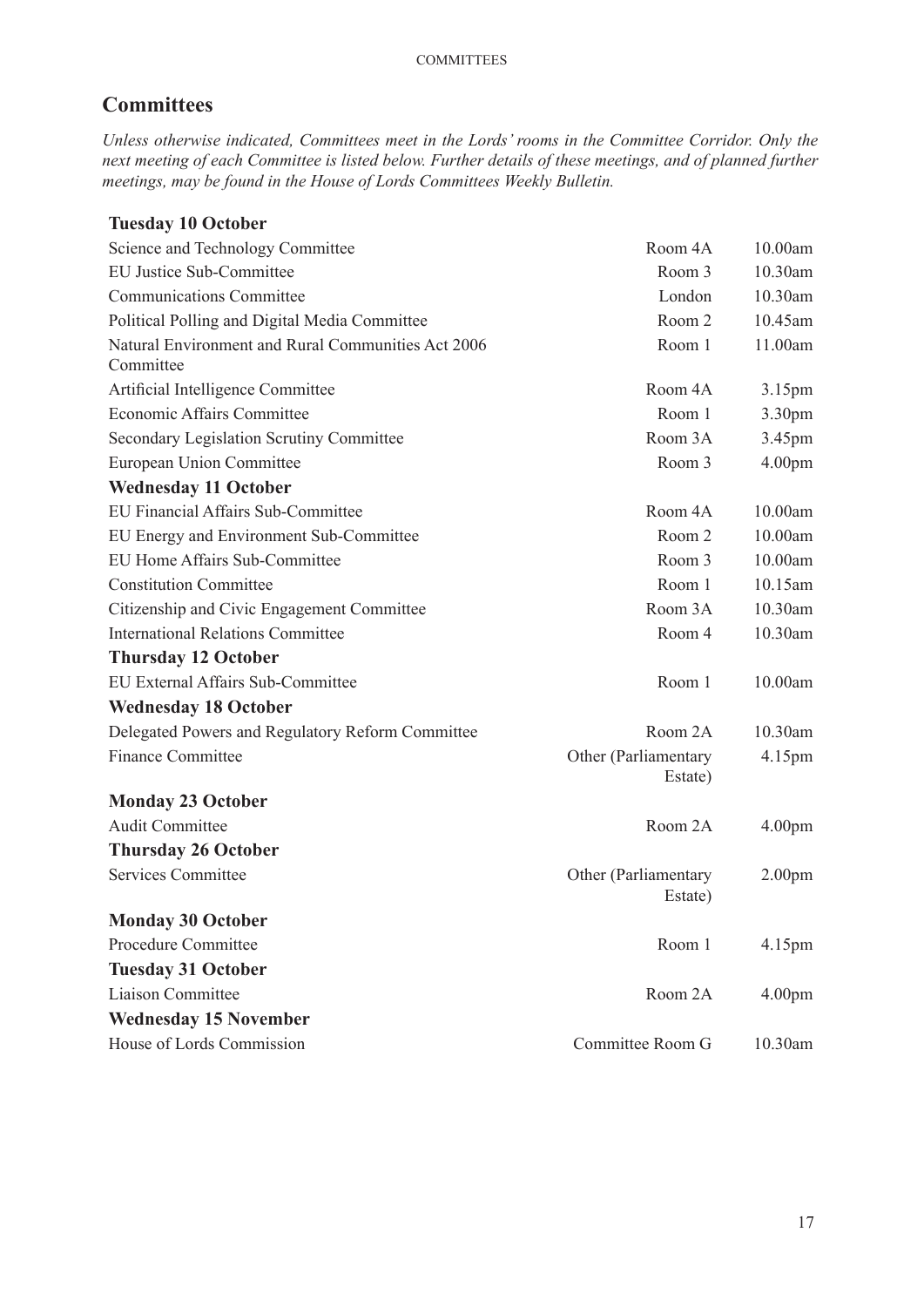# **Committees**

*Unless otherwise indicated, Committees meet in the Lords' rooms in the Committee Corridor. Only the next meeting of each Committee is listed below. Further details of these meetings, and of planned further meetings, may be found in the House of Lords Committees Weekly Bulletin.*

# **Tuesday 10 October**

| Science and Technology Committee                                | Room 4A                         | 10.00am            |
|-----------------------------------------------------------------|---------------------------------|--------------------|
| EU Justice Sub-Committee                                        | Room 3                          | 10.30am            |
| <b>Communications Committee</b>                                 | London                          | 10.30am            |
| Political Polling and Digital Media Committee                   | Room 2                          | 10.45am            |
| Natural Environment and Rural Communities Act 2006<br>Committee | Room 1                          | 11.00am            |
| Artificial Intelligence Committee                               | Room 4A                         | 3.15pm             |
| Economic Affairs Committee                                      | Room 1                          | 3.30pm             |
| Secondary Legislation Scrutiny Committee                        | Room 3A                         | 3.45pm             |
| European Union Committee                                        | Room 3                          | 4.00pm             |
| <b>Wednesday 11 October</b>                                     |                                 |                    |
| EU Financial Affairs Sub-Committee                              | Room 4A                         | 10.00am            |
| EU Energy and Environment Sub-Committee                         | Room 2                          | 10.00am            |
| EU Home Affairs Sub-Committee                                   | Room 3                          | 10.00am            |
| <b>Constitution Committee</b>                                   | Room 1                          | 10.15am            |
| Citizenship and Civic Engagement Committee                      | Room 3A                         | 10.30am            |
| <b>International Relations Committee</b>                        | Room 4                          | 10.30am            |
| <b>Thursday 12 October</b>                                      |                                 |                    |
| EU External Affairs Sub-Committee                               | Room 1                          | 10.00am            |
| <b>Wednesday 18 October</b>                                     |                                 |                    |
| Delegated Powers and Regulatory Reform Committee                | Room 2A                         | 10.30am            |
| <b>Finance Committee</b>                                        | Other (Parliamentary<br>Estate) | 4.15pm             |
| <b>Monday 23 October</b>                                        |                                 |                    |
| <b>Audit Committee</b>                                          | Room 2A                         | 4.00 <sub>pm</sub> |
| <b>Thursday 26 October</b>                                      |                                 |                    |
| <b>Services Committee</b>                                       | Other (Parliamentary<br>Estate) | 2.00 <sub>pm</sub> |
| <b>Monday 30 October</b>                                        |                                 |                    |
| Procedure Committee                                             | Room 1                          | 4.15pm             |
| <b>Tuesday 31 October</b>                                       |                                 |                    |
| <b>Liaison Committee</b>                                        | Room 2A                         | 4.00 <sub>pm</sub> |
| <b>Wednesday 15 November</b>                                    |                                 |                    |
| House of Lords Commission                                       | Committee Room G                | 10.30am            |